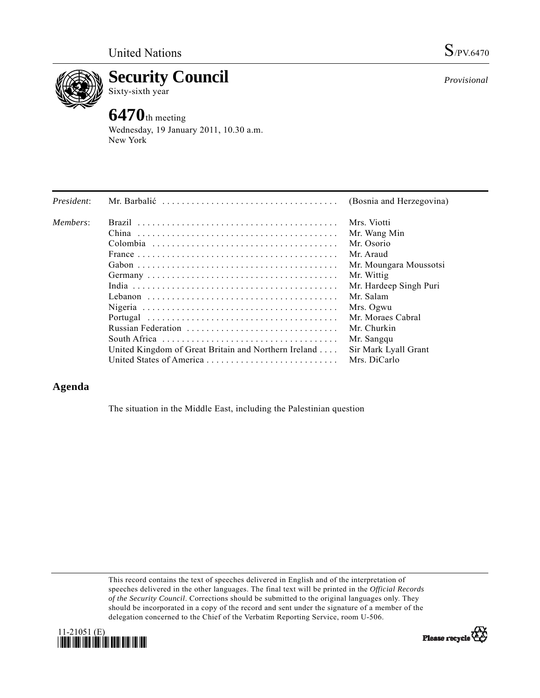



**Security Council** 

Sixty-sixth year

## **6470**th meeting

Wednesday, 19 January 2011, 10.30 a.m. New York

|                                                              | (Bosnia and Herzegovina) |
|--------------------------------------------------------------|--------------------------|
|                                                              | Mrs. Viotti              |
|                                                              | Mr. Wang Min             |
|                                                              | Mr. Osorio               |
|                                                              | Mr. Araud                |
|                                                              | Mr. Moungara Moussotsi   |
|                                                              | Mr. Wittig               |
|                                                              | Mr. Hardeep Singh Puri   |
|                                                              | Mr. Salam                |
|                                                              | Mrs. Ogwu                |
|                                                              | Mr. Moraes Cabral        |
|                                                              | Mr. Churkin              |
|                                                              | Mr. Sangqu               |
| United Kingdom of Great Britain and Northern Ireland $\dots$ | Sir Mark Lyall Grant     |
|                                                              | Mrs. DiCarlo             |
|                                                              |                          |

## **Agenda**

The situation in the Middle East, including the Palestinian question

This record contains the text of speeches delivered in English and of the interpretation of speeches delivered in the other languages. The final text will be printed in the *Official Records of the Security Council*. Corrections should be submitted to the original languages only. They should be incorporated in a copy of the record and sent under the signature of a member of the delegation concerned to the Chief of the Verbatim Reporting Service, room U-506.



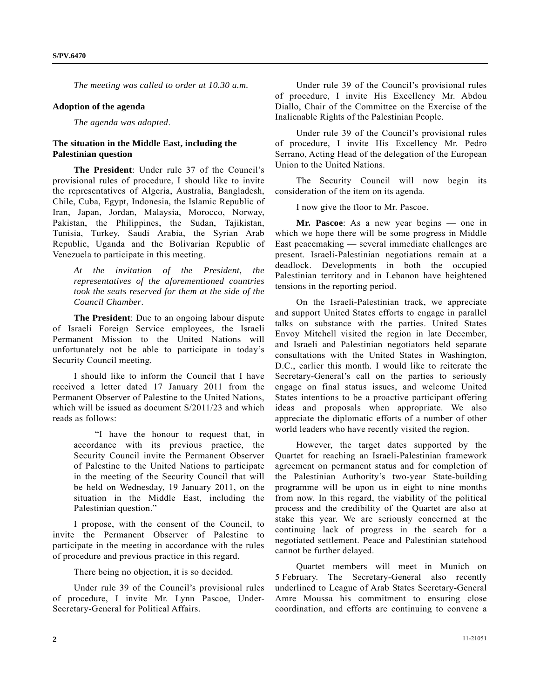*The meeting was called to order at 10.30 a.m.* 

## **Adoption of the agenda**

*The agenda was adopted*.

## **The situation in the Middle East, including the Palestinian question**

**The President**: Under rule 37 of the Council's provisional rules of procedure, I should like to invite the representatives of Algeria, Australia, Bangladesh, Chile, Cuba, Egypt, Indonesia, the Islamic Republic of Iran, Japan, Jordan, Malaysia, Morocco, Norway, Pakistan, the Philippines, the Sudan, Tajikistan, Tunisia, Turkey, Saudi Arabia, the Syrian Arab Republic, Uganda and the Bolivarian Republic of Venezuela to participate in this meeting.

*At the invitation of the President, the representatives of the aforementioned countries took the seats reserved for them at the side of the Council Chamber*.

**The President**: Due to an ongoing labour dispute of Israeli Foreign Service employees, the Israeli Permanent Mission to the United Nations will unfortunately not be able to participate in today's Security Council meeting.

 I should like to inform the Council that I have received a letter dated 17 January 2011 from the Permanent Observer of Palestine to the United Nations, which will be issued as document S/2011/23 and which reads as follows:

 "I have the honour to request that, in accordance with its previous practice, the Security Council invite the Permanent Observer of Palestine to the United Nations to participate in the meeting of the Security Council that will be held on Wednesday, 19 January 2011, on the situation in the Middle East, including the Palestinian question."

 I propose, with the consent of the Council, to invite the Permanent Observer of Palestine to participate in the meeting in accordance with the rules of procedure and previous practice in this regard.

There being no objection, it is so decided.

 Under rule 39 of the Council's provisional rules of procedure, I invite Mr. Lynn Pascoe, Under-Secretary-General for Political Affairs.

 Under rule 39 of the Council's provisional rules of procedure, I invite His Excellency Mr. Abdou Diallo, Chair of the Committee on the Exercise of the Inalienable Rights of the Palestinian People.

 Under rule 39 of the Council's provisional rules of procedure, I invite His Excellency Mr. Pedro Serrano, Acting Head of the delegation of the European Union to the United Nations.

 The Security Council will now begin its consideration of the item on its agenda.

I now give the floor to Mr. Pascoe.

 **Mr. Pascoe**: As a new year begins — one in which we hope there will be some progress in Middle East peacemaking — several immediate challenges are present. Israeli-Palestinian negotiations remain at a deadlock. Developments in both the occupied Palestinian territory and in Lebanon have heightened tensions in the reporting period.

 On the Israeli-Palestinian track, we appreciate and support United States efforts to engage in parallel talks on substance with the parties. United States Envoy Mitchell visited the region in late December, and Israeli and Palestinian negotiators held separate consultations with the United States in Washington, D.C., earlier this month. I would like to reiterate the Secretary-General's call on the parties to seriously engage on final status issues, and welcome United States intentions to be a proactive participant offering ideas and proposals when appropriate. We also appreciate the diplomatic efforts of a number of other world leaders who have recently visited the region.

 However, the target dates supported by the Quartet for reaching an Israeli-Palestinian framework agreement on permanent status and for completion of the Palestinian Authority's two-year State-building programme will be upon us in eight to nine months from now. In this regard, the viability of the political process and the credibility of the Quartet are also at stake this year. We are seriously concerned at the continuing lack of progress in the search for a negotiated settlement. Peace and Palestinian statehood cannot be further delayed.

 Quartet members will meet in Munich on 5 February. The Secretary-General also recently underlined to League of Arab States Secretary-General Amre Moussa his commitment to ensuring close coordination, and efforts are continuing to convene a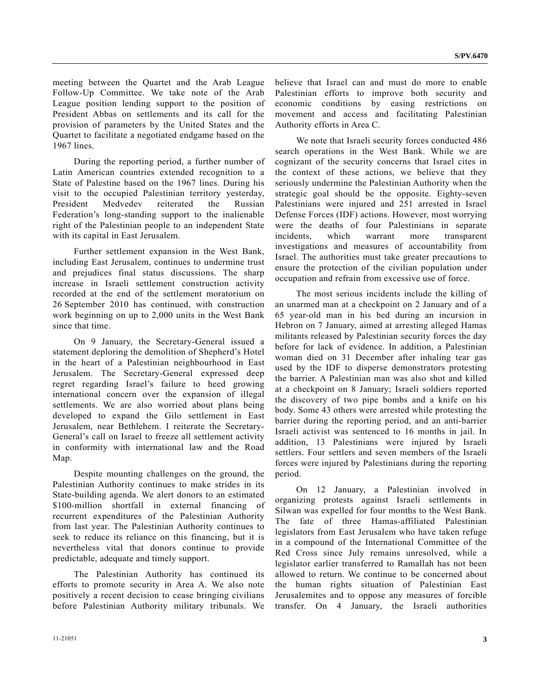meeting between the Quartet and the Arab League Follow-Up Committee. We take note of the Arab League position lending support to the position of President Abbas on settlements and its call for the provision of parameters by the United States and the Quartet to facilitate a negotiated endgame based on the 1967 lines.

 During the reporting period, a further number of Latin American countries extended recognition to a State of Palestine based on the 1967 lines. During his visit to the occupied Palestinian territory yesterday, President Medvedev reiterated the Russian Federation's long-standing support to the inalienable right of the Palestinian people to an independent State with its capital in East Jerusalem.

 Further settlement expansion in the West Bank, including East Jerusalem, continues to undermine trust and prejudices final status discussions. The sharp increase in Israeli settlement construction activity recorded at the end of the settlement moratorium on 26 September 2010 has continued, with construction work beginning on up to 2,000 units in the West Bank since that time.

 On 9 January, the Secretary-General issued a statement deploring the demolition of Shepherd's Hotel in the heart of a Palestinian neighbourhood in East Jerusalem. The Secretary-General expressed deep regret regarding Israel's failure to heed growing international concern over the expansion of illegal settlements. We are also worried about plans being developed to expand the Gilo settlement in East Jerusalem, near Bethlehem. I reiterate the Secretary-General's call on Israel to freeze all settlement activity in conformity with international law and the Road Map.

 Despite mounting challenges on the ground, the Palestinian Authority continues to make strides in its State-building agenda. We alert donors to an estimated \$100-million shortfall in external financing of recurrent expenditures of the Palestinian Authority from last year. The Palestinian Authority continues to seek to reduce its reliance on this financing, but it is nevertheless vital that donors continue to provide predictable, adequate and timely support.

 The Palestinian Authority has continued its efforts to promote security in Area A. We also note positively a recent decision to cease bringing civilians before Palestinian Authority military tribunals. We believe that Israel can and must do more to enable Palestinian efforts to improve both security and economic conditions by easing restrictions on movement and access and facilitating Palestinian Authority efforts in Area C.

 We note that Israeli security forces conducted 486 search operations in the West Bank. While we are cognizant of the security concerns that Israel cites in the context of these actions, we believe that they seriously undermine the Palestinian Authority when the strategic goal should be the opposite. Eighty-seven Palestinians were injured and 251 arrested in Israel Defense Forces (IDF) actions. However, most worrying were the deaths of four Palestinians in separate incidents, which warrant more transparent investigations and measures of accountability from Israel. The authorities must take greater precautions to ensure the protection of the civilian population under occupation and refrain from excessive use of force.

 The most serious incidents include the killing of an unarmed man at a checkpoint on 2 January and of a 65 year-old man in his bed during an incursion in Hebron on 7 January, aimed at arresting alleged Hamas militants released by Palestinian security forces the day before for lack of evidence. In addition, a Palestinian woman died on 31 December after inhaling tear gas used by the IDF to disperse demonstrators protesting the barrier. A Palestinian man was also shot and killed at a checkpoint on 8 January; Israeli soldiers reported the discovery of two pipe bombs and a knife on his body. Some 43 others were arrested while protesting the barrier during the reporting period, and an anti-barrier Israeli activist was sentenced to 16 months in jail. In addition, 13 Palestinians were injured by Israeli settlers. Four settlers and seven members of the Israeli forces were injured by Palestinians during the reporting period.

 On 12 January, a Palestinian involved in organizing protests against Israeli settlements in Silwan was expelled for four months to the West Bank. The fate of three Hamas-affiliated Palestinian legislators from East Jerusalem who have taken refuge in a compound of the International Committee of the Red Cross since July remains unresolved, while a legislator earlier transferred to Ramallah has not been allowed to return. We continue to be concerned about the human rights situation of Palestinian East Jerusalemites and to oppose any measures of forcible transfer. On 4 January, the Israeli authorities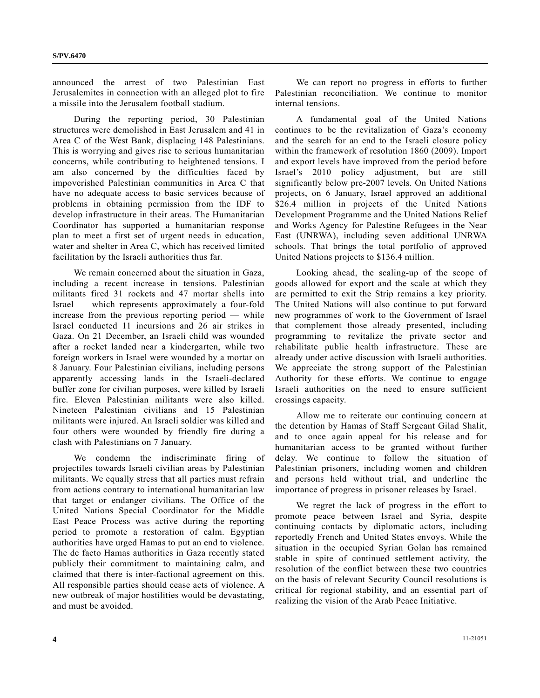announced the arrest of two Palestinian East Jerusalemites in connection with an alleged plot to fire a missile into the Jerusalem football stadium.

 During the reporting period, 30 Palestinian structures were demolished in East Jerusalem and 41 in Area C of the West Bank, displacing 148 Palestinians. This is worrying and gives rise to serious humanitarian concerns, while contributing to heightened tensions. I am also concerned by the difficulties faced by impoverished Palestinian communities in Area C that have no adequate access to basic services because of problems in obtaining permission from the IDF to develop infrastructure in their areas. The Humanitarian Coordinator has supported a humanitarian response plan to meet a first set of urgent needs in education, water and shelter in Area C, which has received limited facilitation by the Israeli authorities thus far.

 We remain concerned about the situation in Gaza, including a recent increase in tensions. Palestinian militants fired 31 rockets and 47 mortar shells into Israel — which represents approximately a four-fold increase from the previous reporting period — while Israel conducted 11 incursions and 26 air strikes in Gaza. On 21 December, an Israeli child was wounded after a rocket landed near a kindergarten, while two foreign workers in Israel were wounded by a mortar on 8 January. Four Palestinian civilians, including persons apparently accessing lands in the Israeli-declared buffer zone for civilian purposes, were killed by Israeli fire. Eleven Palestinian militants were also killed. Nineteen Palestinian civilians and 15 Palestinian militants were injured. An Israeli soldier was killed and four others were wounded by friendly fire during a clash with Palestinians on 7 January.

 We condemn the indiscriminate firing of projectiles towards Israeli civilian areas by Palestinian militants. We equally stress that all parties must refrain from actions contrary to international humanitarian law that target or endanger civilians. The Office of the United Nations Special Coordinator for the Middle East Peace Process was active during the reporting period to promote a restoration of calm. Egyptian authorities have urged Hamas to put an end to violence. The de facto Hamas authorities in Gaza recently stated publicly their commitment to maintaining calm, and claimed that there is inter-factional agreement on this. All responsible parties should cease acts of violence. A new outbreak of major hostilities would be devastating, and must be avoided.

 We can report no progress in efforts to further Palestinian reconciliation. We continue to monitor internal tensions.

 A fundamental goal of the United Nations continues to be the revitalization of Gaza's economy and the search for an end to the Israeli closure policy within the framework of resolution 1860 (2009). Import and export levels have improved from the period before Israel's 2010 policy adjustment, but are still significantly below pre-2007 levels. On United Nations projects, on 6 January, Israel approved an additional \$26.4 million in projects of the United Nations Development Programme and the United Nations Relief and Works Agency for Palestine Refugees in the Near East (UNRWA), including seven additional UNRWA schools. That brings the total portfolio of approved United Nations projects to \$136.4 million.

 Looking ahead, the scaling-up of the scope of goods allowed for export and the scale at which they are permitted to exit the Strip remains a key priority. The United Nations will also continue to put forward new programmes of work to the Government of Israel that complement those already presented, including programming to revitalize the private sector and rehabilitate public health infrastructure. These are already under active discussion with Israeli authorities. We appreciate the strong support of the Palestinian Authority for these efforts. We continue to engage Israeli authorities on the need to ensure sufficient crossings capacity.

 Allow me to reiterate our continuing concern at the detention by Hamas of Staff Sergeant Gilad Shalit, and to once again appeal for his release and for humanitarian access to be granted without further delay. We continue to follow the situation of Palestinian prisoners, including women and children and persons held without trial, and underline the importance of progress in prisoner releases by Israel.

 We regret the lack of progress in the effort to promote peace between Israel and Syria, despite continuing contacts by diplomatic actors, including reportedly French and United States envoys. While the situation in the occupied Syrian Golan has remained stable in spite of continued settlement activity, the resolution of the conflict between these two countries on the basis of relevant Security Council resolutions is critical for regional stability, and an essential part of realizing the vision of the Arab Peace Initiative.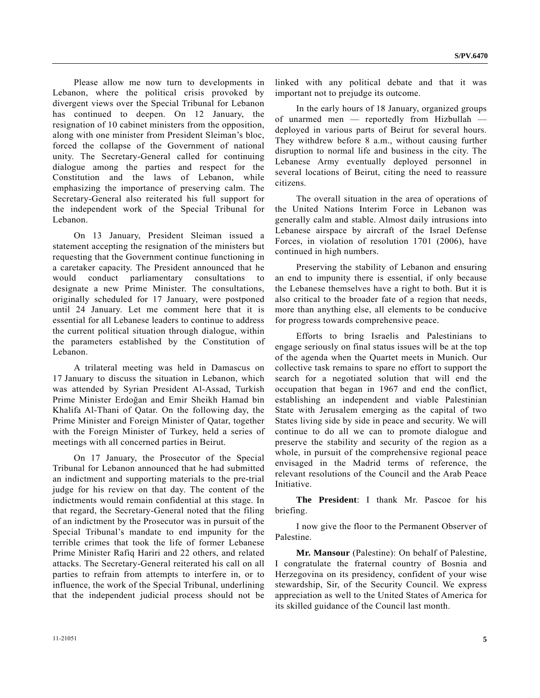Please allow me now turn to developments in Lebanon, where the political crisis provoked by divergent views over the Special Tribunal for Lebanon has continued to deepen. On 12 January, the resignation of 10 cabinet ministers from the opposition, along with one minister from President Sleiman's bloc, forced the collapse of the Government of national unity. The Secretary-General called for continuing dialogue among the parties and respect for the Constitution and the laws of Lebanon, while emphasizing the importance of preserving calm. The Secretary-General also reiterated his full support for the independent work of the Special Tribunal for Lebanon.

 On 13 January, President Sleiman issued a statement accepting the resignation of the ministers but requesting that the Government continue functioning in a caretaker capacity. The President announced that he would conduct parliamentary consultations to designate a new Prime Minister. The consultations, originally scheduled for 17 January, were postponed until 24 January. Let me comment here that it is essential for all Lebanese leaders to continue to address the current political situation through dialogue, within the parameters established by the Constitution of Lebanon.

 A trilateral meeting was held in Damascus on 17 January to discuss the situation in Lebanon, which was attended by Syrian President Al-Assad, Turkish Prime Minister Erdoğan and Emir Sheikh Hamad bin Khalifa Al-Thani of Qatar. On the following day, the Prime Minister and Foreign Minister of Qatar, together with the Foreign Minister of Turkey, held a series of meetings with all concerned parties in Beirut.

 On 17 January, the Prosecutor of the Special Tribunal for Lebanon announced that he had submitted an indictment and supporting materials to the pre-trial judge for his review on that day. The content of the indictments would remain confidential at this stage. In that regard, the Secretary-General noted that the filing of an indictment by the Prosecutor was in pursuit of the Special Tribunal's mandate to end impunity for the terrible crimes that took the life of former Lebanese Prime Minister Rafiq Hariri and 22 others, and related attacks. The Secretary-General reiterated his call on all parties to refrain from attempts to interfere in, or to influence, the work of the Special Tribunal, underlining that the independent judicial process should not be linked with any political debate and that it was important not to prejudge its outcome.

 In the early hours of 18 January, organized groups of unarmed men — reportedly from Hizbullah deployed in various parts of Beirut for several hours. They withdrew before 8 a.m., without causing further disruption to normal life and business in the city. The Lebanese Army eventually deployed personnel in several locations of Beirut, citing the need to reassure citizens.

 The overall situation in the area of operations of the United Nations Interim Force in Lebanon was generally calm and stable. Almost daily intrusions into Lebanese airspace by aircraft of the Israel Defense Forces, in violation of resolution 1701 (2006), have continued in high numbers.

 Preserving the stability of Lebanon and ensuring an end to impunity there is essential, if only because the Lebanese themselves have a right to both. But it is also critical to the broader fate of a region that needs, more than anything else, all elements to be conducive for progress towards comprehensive peace.

 Efforts to bring Israelis and Palestinians to engage seriously on final status issues will be at the top of the agenda when the Quartet meets in Munich. Our collective task remains to spare no effort to support the search for a negotiated solution that will end the occupation that began in 1967 and end the conflict, establishing an independent and viable Palestinian State with Jerusalem emerging as the capital of two States living side by side in peace and security. We will continue to do all we can to promote dialogue and preserve the stability and security of the region as a whole, in pursuit of the comprehensive regional peace envisaged in the Madrid terms of reference, the relevant resolutions of the Council and the Arab Peace Initiative.

**The President**: I thank Mr. Pascoe for his briefing.

 I now give the floor to the Permanent Observer of Palestine.

**Mr. Mansour** (Palestine): On behalf of Palestine, I congratulate the fraternal country of Bosnia and Herzegovina on its presidency, confident of your wise stewardship, Sir, of the Security Council. We express appreciation as well to the United States of America for its skilled guidance of the Council last month.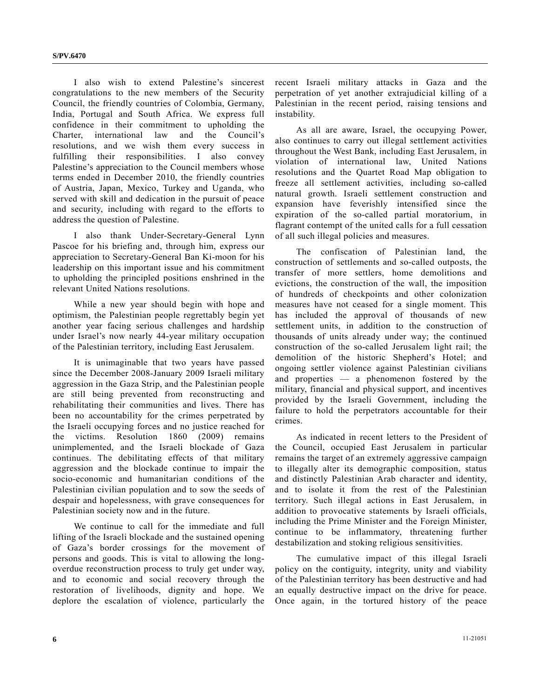I also wish to extend Palestine's sincerest congratulations to the new members of the Security Council, the friendly countries of Colombia, Germany, India, Portugal and South Africa. We express full confidence in their commitment to upholding the Charter, international law and the Council's resolutions, and we wish them every success in fulfilling their responsibilities. I also convey Palestine's appreciation to the Council members whose terms ended in December 2010, the friendly countries of Austria, Japan, Mexico, Turkey and Uganda, who served with skill and dedication in the pursuit of peace and security, including with regard to the efforts to address the question of Palestine.

 I also thank Under-Secretary-General Lynn Pascoe for his briefing and, through him, express our appreciation to Secretary-General Ban Ki-moon for his leadership on this important issue and his commitment to upholding the principled positions enshrined in the relevant United Nations resolutions.

 While a new year should begin with hope and optimism, the Palestinian people regrettably begin yet another year facing serious challenges and hardship under Israel's now nearly 44-year military occupation of the Palestinian territory, including East Jerusalem.

 It is unimaginable that two years have passed since the December 2008-January 2009 Israeli military aggression in the Gaza Strip, and the Palestinian people are still being prevented from reconstructing and rehabilitating their communities and lives. There has been no accountability for the crimes perpetrated by the Israeli occupying forces and no justice reached for the victims. Resolution 1860 (2009) remains unimplemented, and the Israeli blockade of Gaza continues. The debilitating effects of that military aggression and the blockade continue to impair the socio-economic and humanitarian conditions of the Palestinian civilian population and to sow the seeds of despair and hopelessness, with grave consequences for Palestinian society now and in the future.

 We continue to call for the immediate and full lifting of the Israeli blockade and the sustained opening of Gaza's border crossings for the movement of persons and goods. This is vital to allowing the longoverdue reconstruction process to truly get under way, and to economic and social recovery through the restoration of livelihoods, dignity and hope. We deplore the escalation of violence, particularly the

recent Israeli military attacks in Gaza and the perpetration of yet another extrajudicial killing of a Palestinian in the recent period, raising tensions and instability.

 As all are aware, Israel, the occupying Power, also continues to carry out illegal settlement activities throughout the West Bank, including East Jerusalem, in violation of international law, United Nations resolutions and the Quartet Road Map obligation to freeze all settlement activities, including so-called natural growth. Israeli settlement construction and expansion have feverishly intensified since the expiration of the so-called partial moratorium, in flagrant contempt of the united calls for a full cessation of all such illegal policies and measures.

 The confiscation of Palestinian land, the construction of settlements and so-called outposts, the transfer of more settlers, home demolitions and evictions, the construction of the wall, the imposition of hundreds of checkpoints and other colonization measures have not ceased for a single moment. This has included the approval of thousands of new settlement units, in addition to the construction of thousands of units already under way; the continued construction of the so-called Jerusalem light rail; the demolition of the historic Shepherd's Hotel; and ongoing settler violence against Palestinian civilians and properties — a phenomenon fostered by the military, financial and physical support, and incentives provided by the Israeli Government, including the failure to hold the perpetrators accountable for their crimes.

 As indicated in recent letters to the President of the Council, occupied East Jerusalem in particular remains the target of an extremely aggressive campaign to illegally alter its demographic composition, status and distinctly Palestinian Arab character and identity, and to isolate it from the rest of the Palestinian territory. Such illegal actions in East Jerusalem, in addition to provocative statements by Israeli officials, including the Prime Minister and the Foreign Minister, continue to be inflammatory, threatening further destabilization and stoking religious sensitivities.

 The cumulative impact of this illegal Israeli policy on the contiguity, integrity, unity and viability of the Palestinian territory has been destructive and had an equally destructive impact on the drive for peace. Once again, in the tortured history of the peace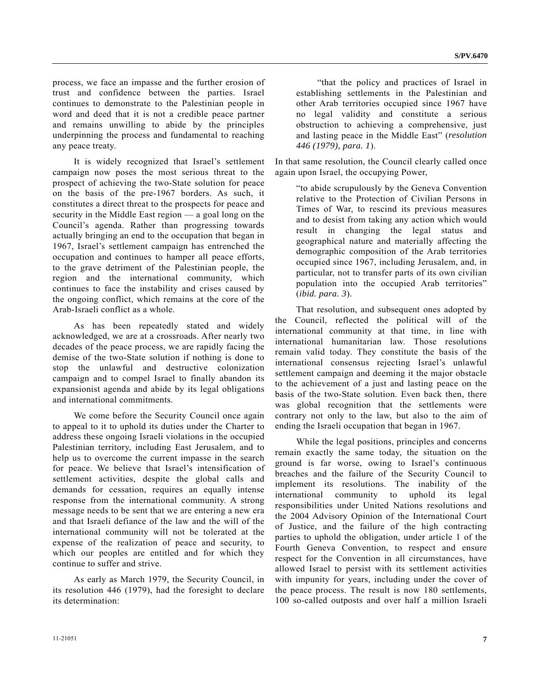process, we face an impasse and the further erosion of trust and confidence between the parties. Israel continues to demonstrate to the Palestinian people in word and deed that it is not a credible peace partner and remains unwilling to abide by the principles underpinning the process and fundamental to reaching any peace treaty.

 It is widely recognized that Israel's settlement campaign now poses the most serious threat to the prospect of achieving the two-State solution for peace on the basis of the pre-1967 borders. As such, it constitutes a direct threat to the prospects for peace and security in the Middle East region — a goal long on the Council's agenda. Rather than progressing towards actually bringing an end to the occupation that began in 1967, Israel's settlement campaign has entrenched the occupation and continues to hamper all peace efforts, to the grave detriment of the Palestinian people, the region and the international community, which continues to face the instability and crises caused by the ongoing conflict, which remains at the core of the Arab-Israeli conflict as a whole.

 As has been repeatedly stated and widely acknowledged, we are at a crossroads. After nearly two decades of the peace process, we are rapidly facing the demise of the two-State solution if nothing is done to stop the unlawful and destructive colonization campaign and to compel Israel to finally abandon its expansionist agenda and abide by its legal obligations and international commitments.

 We come before the Security Council once again to appeal to it to uphold its duties under the Charter to address these ongoing Israeli violations in the occupied Palestinian territory, including East Jerusalem, and to help us to overcome the current impasse in the search for peace. We believe that Israel's intensification of settlement activities, despite the global calls and demands for cessation, requires an equally intense response from the international community. A strong message needs to be sent that we are entering a new era and that Israeli defiance of the law and the will of the international community will not be tolerated at the expense of the realization of peace and security, to which our peoples are entitled and for which they continue to suffer and strive.

 As early as March 1979, the Security Council, in its resolution 446 (1979), had the foresight to declare its determination:

 "that the policy and practices of Israel in establishing settlements in the Palestinian and other Arab territories occupied since 1967 have no legal validity and constitute a serious obstruction to achieving a comprehensive, just and lasting peace in the Middle East" (*resolution 446 (1979), para. 1*).

In that same resolution, the Council clearly called once again upon Israel, the occupying Power,

 "to abide scrupulously by the Geneva Convention relative to the Protection of Civilian Persons in Times of War, to rescind its previous measures and to desist from taking any action which would result in changing the legal status and geographical nature and materially affecting the demographic composition of the Arab territories occupied since 1967, including Jerusalem, and, in particular, not to transfer parts of its own civilian population into the occupied Arab territories" (*ibid. para. 3*).

 That resolution, and subsequent ones adopted by the Council, reflected the political will of the international community at that time, in line with international humanitarian law. Those resolutions remain valid today. They constitute the basis of the international consensus rejecting Israel's unlawful settlement campaign and deeming it the major obstacle to the achievement of a just and lasting peace on the basis of the two-State solution. Even back then, there was global recognition that the settlements were contrary not only to the law, but also to the aim of ending the Israeli occupation that began in 1967.

 While the legal positions, principles and concerns remain exactly the same today, the situation on the ground is far worse, owing to Israel's continuous breaches and the failure of the Security Council to implement its resolutions. The inability of the international community to uphold its legal responsibilities under United Nations resolutions and the 2004 Advisory Opinion of the International Court of Justice, and the failure of the high contracting parties to uphold the obligation, under article 1 of the Fourth Geneva Convention, to respect and ensure respect for the Convention in all circumstances, have allowed Israel to persist with its settlement activities with impunity for years, including under the cover of the peace process. The result is now 180 settlements, 100 so-called outposts and over half a million Israeli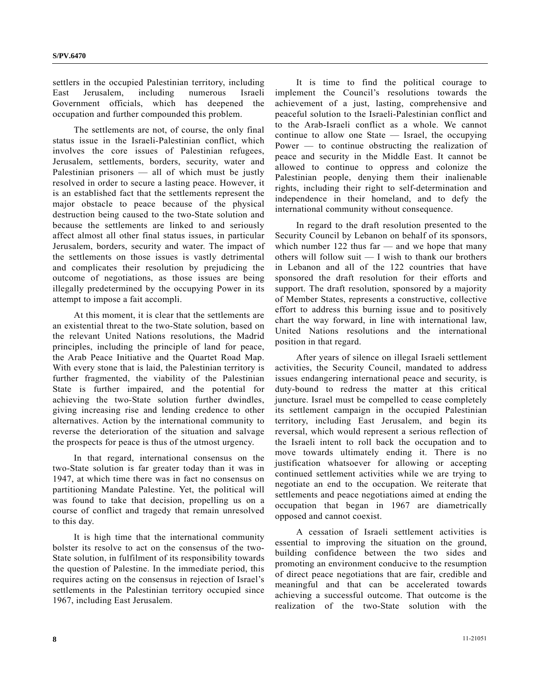settlers in the occupied Palestinian territory, including East Jerusalem, including numerous Israeli Government officials, which has deepened the occupation and further compounded this problem.

 The settlements are not, of course, the only final status issue in the Israeli-Palestinian conflict, which involves the core issues of Palestinian refugees, Jerusalem, settlements, borders, security, water and Palestinian prisoners — all of which must be justly resolved in order to secure a lasting peace. However, it is an established fact that the settlements represent the major obstacle to peace because of the physical destruction being caused to the two-State solution and because the settlements are linked to and seriously affect almost all other final status issues, in particular Jerusalem, borders, security and water. The impact of the settlements on those issues is vastly detrimental and complicates their resolution by prejudicing the outcome of negotiations, as those issues are being illegally predetermined by the occupying Power in its attempt to impose a fait accompli.

 At this moment, it is clear that the settlements are an existential threat to the two-State solution, based on the relevant United Nations resolutions, the Madrid principles, including the principle of land for peace, the Arab Peace Initiative and the Quartet Road Map. With every stone that is laid, the Palestinian territory is further fragmented, the viability of the Palestinian State is further impaired, and the potential for achieving the two-State solution further dwindles, giving increasing rise and lending credence to other alternatives. Action by the international community to reverse the deterioration of the situation and salvage the prospects for peace is thus of the utmost urgency.

 In that regard, international consensus on the two-State solution is far greater today than it was in 1947, at which time there was in fact no consensus on partitioning Mandate Palestine. Yet, the political will was found to take that decision, propelling us on a course of conflict and tragedy that remain unresolved to this day.

 It is high time that the international community bolster its resolve to act on the consensus of the two-State solution, in fulfilment of its responsibility towards the question of Palestine. In the immediate period, this requires acting on the consensus in rejection of Israel's settlements in the Palestinian territory occupied since 1967, including East Jerusalem.

 It is time to find the political courage to implement the Council's resolutions towards the achievement of a just, lasting, comprehensive and peaceful solution to the Israeli-Palestinian conflict and to the Arab-Israeli conflict as a whole. We cannot continue to allow one State — Israel, the occupying Power — to continue obstructing the realization of peace and security in the Middle East. It cannot be allowed to continue to oppress and colonize the Palestinian people, denying them their inalienable rights, including their right to self-determination and independence in their homeland, and to defy the international community without consequence.

 In regard to the draft resolution presented to the Security Council by Lebanon on behalf of its sponsors, which number  $122$  thus far — and we hope that many others will follow suit — I wish to thank our brothers in Lebanon and all of the 122 countries that have sponsored the draft resolution for their efforts and support. The draft resolution, sponsored by a majority of Member States, represents a constructive, collective effort to address this burning issue and to positively chart the way forward, in line with international law, United Nations resolutions and the international position in that regard.

 After years of silence on illegal Israeli settlement activities, the Security Council, mandated to address issues endangering international peace and security, is duty-bound to redress the matter at this critical juncture. Israel must be compelled to cease completely its settlement campaign in the occupied Palestinian territory, including East Jerusalem, and begin its reversal, which would represent a serious reflection of the Israeli intent to roll back the occupation and to move towards ultimately ending it. There is no justification whatsoever for allowing or accepting continued settlement activities while we are trying to negotiate an end to the occupation. We reiterate that settlements and peace negotiations aimed at ending the occupation that began in 1967 are diametrically opposed and cannot coexist.

 A cessation of Israeli settlement activities is essential to improving the situation on the ground, building confidence between the two sides and promoting an environment conducive to the resumption of direct peace negotiations that are fair, credible and meaningful and that can be accelerated towards achieving a successful outcome. That outcome is the realization of the two-State solution with the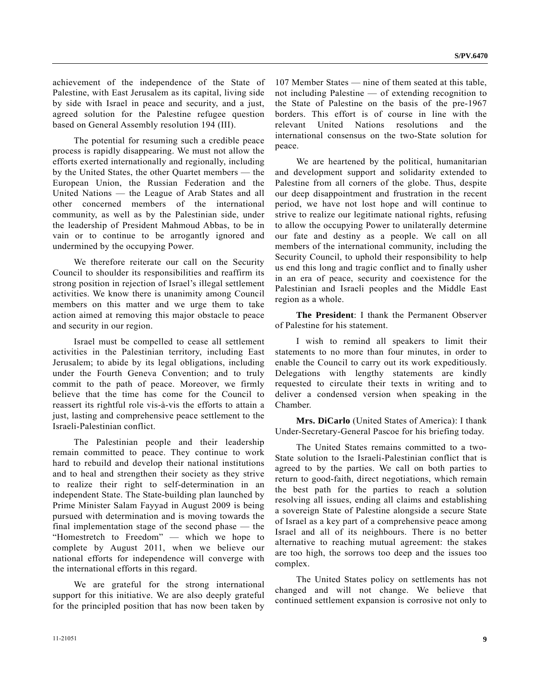achievement of the independence of the State of Palestine, with East Jerusalem as its capital, living side by side with Israel in peace and security, and a just, agreed solution for the Palestine refugee question based on General Assembly resolution 194 (III).

 The potential for resuming such a credible peace process is rapidly disappearing. We must not allow the efforts exerted internationally and regionally, including by the United States, the other Quartet members — the European Union, the Russian Federation and the United Nations — the League of Arab States and all other concerned members of the international community, as well as by the Palestinian side, under the leadership of President Mahmoud Abbas, to be in vain or to continue to be arrogantly ignored and undermined by the occupying Power.

 We therefore reiterate our call on the Security Council to shoulder its responsibilities and reaffirm its strong position in rejection of Israel's illegal settlement activities. We know there is unanimity among Council members on this matter and we urge them to take action aimed at removing this major obstacle to peace and security in our region.

 Israel must be compelled to cease all settlement activities in the Palestinian territory, including East Jerusalem; to abide by its legal obligations, including under the Fourth Geneva Convention; and to truly commit to the path of peace. Moreover, we firmly believe that the time has come for the Council to reassert its rightful role vis-à-vis the efforts to attain a just, lasting and comprehensive peace settlement to the Israeli-Palestinian conflict.

 The Palestinian people and their leadership remain committed to peace. They continue to work hard to rebuild and develop their national institutions and to heal and strengthen their society as they strive to realize their right to self-determination in an independent State. The State-building plan launched by Prime Minister Salam Fayyad in August 2009 is being pursued with determination and is moving towards the final implementation stage of the second phase — the "Homestretch to Freedom" — which we hope to complete by August 2011, when we believe our national efforts for independence will converge with the international efforts in this regard.

 We are grateful for the strong international support for this initiative. We are also deeply grateful for the principled position that has now been taken by

107 Member States — nine of them seated at this table, not including Palestine — of extending recognition to the State of Palestine on the basis of the pre-1967 borders. This effort is of course in line with the relevant United Nations resolutions and the international consensus on the two-State solution for peace.

 We are heartened by the political, humanitarian and development support and solidarity extended to Palestine from all corners of the globe. Thus, despite our deep disappointment and frustration in the recent period, we have not lost hope and will continue to strive to realize our legitimate national rights, refusing to allow the occupying Power to unilaterally determine our fate and destiny as a people. We call on all members of the international community, including the Security Council, to uphold their responsibility to help us end this long and tragic conflict and to finally usher in an era of peace, security and coexistence for the Palestinian and Israeli peoples and the Middle East region as a whole.

**The President**: I thank the Permanent Observer of Palestine for his statement.

 I wish to remind all speakers to limit their statements to no more than four minutes, in order to enable the Council to carry out its work expeditiously. Delegations with lengthy statements are kindly requested to circulate their texts in writing and to deliver a condensed version when speaking in the Chamber.

**Mrs. DiCarlo** (United States of America): I thank Under-Secretary-General Pascoe for his briefing today.

 The United States remains committed to a two-State solution to the Israeli-Palestinian conflict that is agreed to by the parties. We call on both parties to return to good-faith, direct negotiations, which remain the best path for the parties to reach a solution resolving all issues, ending all claims and establishing a sovereign State of Palestine alongside a secure State of Israel as a key part of a comprehensive peace among Israel and all of its neighbours. There is no better alternative to reaching mutual agreement: the stakes are too high, the sorrows too deep and the issues too complex.

 The United States policy on settlements has not changed and will not change. We believe that continued settlement expansion is corrosive not only to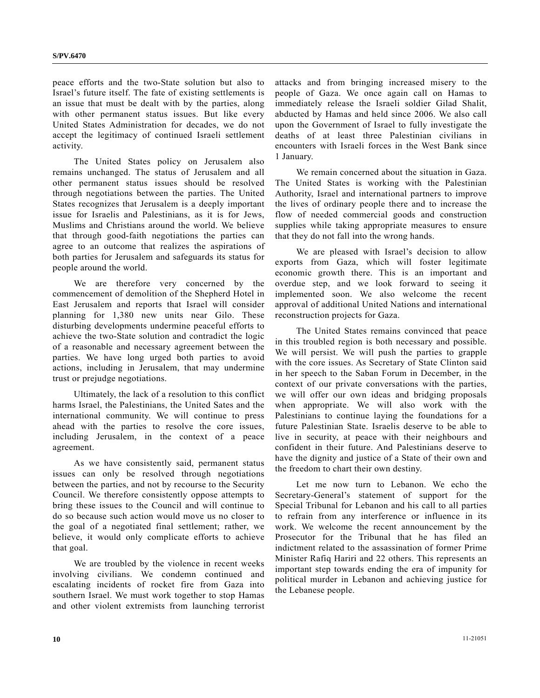peace efforts and the two-State solution but also to Israel's future itself. The fate of existing settlements is an issue that must be dealt with by the parties, along with other permanent status issues. But like every United States Administration for decades, we do not accept the legitimacy of continued Israeli settlement activity.

 The United States policy on Jerusalem also remains unchanged. The status of Jerusalem and all other permanent status issues should be resolved through negotiations between the parties. The United States recognizes that Jerusalem is a deeply important issue for Israelis and Palestinians, as it is for Jews, Muslims and Christians around the world. We believe that through good-faith negotiations the parties can agree to an outcome that realizes the aspirations of both parties for Jerusalem and safeguards its status for people around the world.

 We are therefore very concerned by the commencement of demolition of the Shepherd Hotel in East Jerusalem and reports that Israel will consider planning for 1,380 new units near Gilo. These disturbing developments undermine peaceful efforts to achieve the two-State solution and contradict the logic of a reasonable and necessary agreement between the parties. We have long urged both parties to avoid actions, including in Jerusalem, that may undermine trust or prejudge negotiations.

 Ultimately, the lack of a resolution to this conflict harms Israel, the Palestinians, the United Sates and the international community. We will continue to press ahead with the parties to resolve the core issues, including Jerusalem, in the context of a peace agreement.

 As we have consistently said, permanent status issues can only be resolved through negotiations between the parties, and not by recourse to the Security Council. We therefore consistently oppose attempts to bring these issues to the Council and will continue to do so because such action would move us no closer to the goal of a negotiated final settlement; rather, we believe, it would only complicate efforts to achieve that goal.

 We are troubled by the violence in recent weeks involving civilians. We condemn continued and escalating incidents of rocket fire from Gaza into southern Israel. We must work together to stop Hamas and other violent extremists from launching terrorist attacks and from bringing increased misery to the people of Gaza. We once again call on Hamas to immediately release the Israeli soldier Gilad Shalit, abducted by Hamas and held since 2006. We also call upon the Government of Israel to fully investigate the deaths of at least three Palestinian civilians in encounters with Israeli forces in the West Bank since 1 January.

 We remain concerned about the situation in Gaza. The United States is working with the Palestinian Authority, Israel and international partners to improve the lives of ordinary people there and to increase the flow of needed commercial goods and construction supplies while taking appropriate measures to ensure that they do not fall into the wrong hands.

 We are pleased with Israel's decision to allow exports from Gaza, which will foster legitimate economic growth there. This is an important and overdue step, and we look forward to seeing it implemented soon. We also welcome the recent approval of additional United Nations and international reconstruction projects for Gaza.

 The United States remains convinced that peace in this troubled region is both necessary and possible. We will persist. We will push the parties to grapple with the core issues. As Secretary of State Clinton said in her speech to the Saban Forum in December, in the context of our private conversations with the parties, we will offer our own ideas and bridging proposals when appropriate. We will also work with the Palestinians to continue laying the foundations for a future Palestinian State. Israelis deserve to be able to live in security, at peace with their neighbours and confident in their future. And Palestinians deserve to have the dignity and justice of a State of their own and the freedom to chart their own destiny.

 Let me now turn to Lebanon. We echo the Secretary-General's statement of support for the Special Tribunal for Lebanon and his call to all parties to refrain from any interference or influence in its work. We welcome the recent announcement by the Prosecutor for the Tribunal that he has filed an indictment related to the assassination of former Prime Minister Rafiq Hariri and 22 others. This represents an important step towards ending the era of impunity for political murder in Lebanon and achieving justice for the Lebanese people.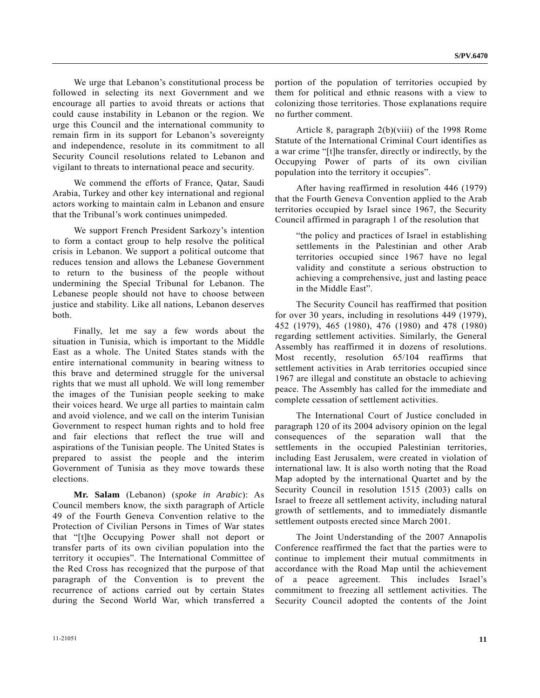We urge that Lebanon's constitutional process be followed in selecting its next Government and we encourage all parties to avoid threats or actions that could cause instability in Lebanon or the region. We urge this Council and the international community to remain firm in its support for Lebanon's sovereignty and independence, resolute in its commitment to all Security Council resolutions related to Lebanon and vigilant to threats to international peace and security.

 We commend the efforts of France, Qatar, Saudi Arabia, Turkey and other key international and regional actors working to maintain calm in Lebanon and ensure that the Tribunal's work continues unimpeded.

 We support French President Sarkozy's intention to form a contact group to help resolve the political crisis in Lebanon. We support a political outcome that reduces tension and allows the Lebanese Government to return to the business of the people without undermining the Special Tribunal for Lebanon. The Lebanese people should not have to choose between justice and stability. Like all nations, Lebanon deserves both.

 Finally, let me say a few words about the situation in Tunisia, which is important to the Middle East as a whole. The United States stands with the entire international community in bearing witness to this brave and determined struggle for the universal rights that we must all uphold. We will long remember the images of the Tunisian people seeking to make their voices heard. We urge all parties to maintain calm and avoid violence, and we call on the interim Tunisian Government to respect human rights and to hold free and fair elections that reflect the true will and aspirations of the Tunisian people. The United States is prepared to assist the people and the interim Government of Tunisia as they move towards these elections.

**Mr. Salam** (Lebanon) (*spoke in Arabic*): As Council members know, the sixth paragraph of Article 49 of the Fourth Geneva Convention relative to the Protection of Civilian Persons in Times of War states that "[t]he Occupying Power shall not deport or transfer parts of its own civilian population into the territory it occupies". The International Committee of the Red Cross has recognized that the purpose of that paragraph of the Convention is to prevent the recurrence of actions carried out by certain States during the Second World War, which transferred a

portion of the population of territories occupied by them for political and ethnic reasons with a view to colonizing those territories. Those explanations require no further comment.

 Article 8, paragraph 2(b)(viii) of the 1998 Rome Statute of the International Criminal Court identifies as a war crime "[t]he transfer, directly or indirectly, by the Occupying Power of parts of its own civilian population into the territory it occupies".

 After having reaffirmed in resolution 446 (1979) that the Fourth Geneva Convention applied to the Arab territories occupied by Israel since 1967, the Security Council affirmed in paragraph 1 of the resolution that

 "the policy and practices of Israel in establishing settlements in the Palestinian and other Arab territories occupied since 1967 have no legal validity and constitute a serious obstruction to achieving a comprehensive, just and lasting peace in the Middle East".

 The Security Council has reaffirmed that position for over 30 years, including in resolutions 449 (1979), 452 (1979), 465 (1980), 476 (1980) and 478 (1980) regarding settlement activities. Similarly, the General Assembly has reaffirmed it in dozens of resolutions. Most recently, resolution 65/104 reaffirms that settlement activities in Arab territories occupied since 1967 are illegal and constitute an obstacle to achieving peace. The Assembly has called for the immediate and complete cessation of settlement activities.

 The International Court of Justice concluded in paragraph 120 of its 2004 advisory opinion on the legal consequences of the separation wall that the settlements in the occupied Palestinian territories, including East Jerusalem, were created in violation of international law. It is also worth noting that the Road Map adopted by the international Quartet and by the Security Council in resolution 1515 (2003) calls on Israel to freeze all settlement activity, including natural growth of settlements, and to immediately dismantle settlement outposts erected since March 2001.

 The Joint Understanding of the 2007 Annapolis Conference reaffirmed the fact that the parties were to continue to implement their mutual commitments in accordance with the Road Map until the achievement of a peace agreement. This includes Israel's commitment to freezing all settlement activities. The Security Council adopted the contents of the Joint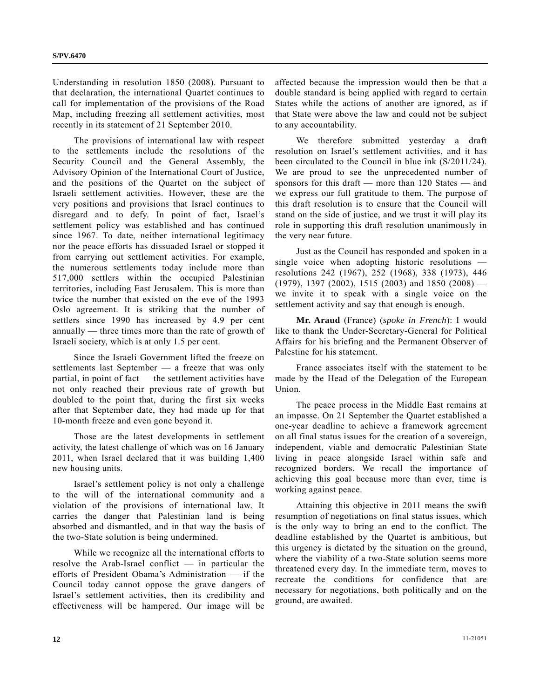Understanding in resolution 1850 (2008). Pursuant to that declaration, the international Quartet continues to call for implementation of the provisions of the Road Map, including freezing all settlement activities, most recently in its statement of 21 September 2010.

 The provisions of international law with respect to the settlements include the resolutions of the Security Council and the General Assembly, the Advisory Opinion of the International Court of Justice, and the positions of the Quartet on the subject of Israeli settlement activities. However, these are the very positions and provisions that Israel continues to disregard and to defy. In point of fact, Israel's settlement policy was established and has continued since 1967. To date, neither international legitimacy nor the peace efforts has dissuaded Israel or stopped it from carrying out settlement activities. For example, the numerous settlements today include more than 517,000 settlers within the occupied Palestinian territories, including East Jerusalem. This is more than twice the number that existed on the eve of the 1993 Oslo agreement. It is striking that the number of settlers since 1990 has increased by 4.9 per cent annually — three times more than the rate of growth of Israeli society, which is at only 1.5 per cent.

 Since the Israeli Government lifted the freeze on settlements last September — a freeze that was only partial, in point of fact — the settlement activities have not only reached their previous rate of growth but doubled to the point that, during the first six weeks after that September date, they had made up for that 10-month freeze and even gone beyond it.

 Those are the latest developments in settlement activity, the latest challenge of which was on 16 January 2011, when Israel declared that it was building 1,400 new housing units.

 Israel's settlement policy is not only a challenge to the will of the international community and a violation of the provisions of international law. It carries the danger that Palestinian land is being absorbed and dismantled, and in that way the basis of the two-State solution is being undermined.

 While we recognize all the international efforts to resolve the Arab-Israel conflict — in particular the efforts of President Obama's Administration — if the Council today cannot oppose the grave dangers of Israel's settlement activities, then its credibility and effectiveness will be hampered. Our image will be

affected because the impression would then be that a double standard is being applied with regard to certain States while the actions of another are ignored, as if that State were above the law and could not be subject to any accountability.

 We therefore submitted yesterday a draft resolution on Israel's settlement activities, and it has been circulated to the Council in blue ink (S/2011/24). We are proud to see the unprecedented number of sponsors for this draft — more than 120 States — and we express our full gratitude to them. The purpose of this draft resolution is to ensure that the Council will stand on the side of justice, and we trust it will play its role in supporting this draft resolution unanimously in the very near future.

 Just as the Council has responded and spoken in a single voice when adopting historic resolutions resolutions 242 (1967), 252 (1968), 338 (1973), 446  $(1979)$ , 1397 (2002), 1515 (2003) and 1850 (2008) we invite it to speak with a single voice on the settlement activity and say that enough is enough.

**Mr. Araud** (France) (*spoke in French*): I would like to thank the Under-Secretary-General for Political Affairs for his briefing and the Permanent Observer of Palestine for his statement.

 France associates itself with the statement to be made by the Head of the Delegation of the European Union.

 The peace process in the Middle East remains at an impasse. On 21 September the Quartet established a one-year deadline to achieve a framework agreement on all final status issues for the creation of a sovereign, independent, viable and democratic Palestinian State living in peace alongside Israel within safe and recognized borders. We recall the importance of achieving this goal because more than ever, time is working against peace.

 Attaining this objective in 2011 means the swift resumption of negotiations on final status issues, which is the only way to bring an end to the conflict. The deadline established by the Quartet is ambitious, but this urgency is dictated by the situation on the ground, where the viability of a two-State solution seems more threatened every day. In the immediate term, moves to recreate the conditions for confidence that are necessary for negotiations, both politically and on the ground, are awaited.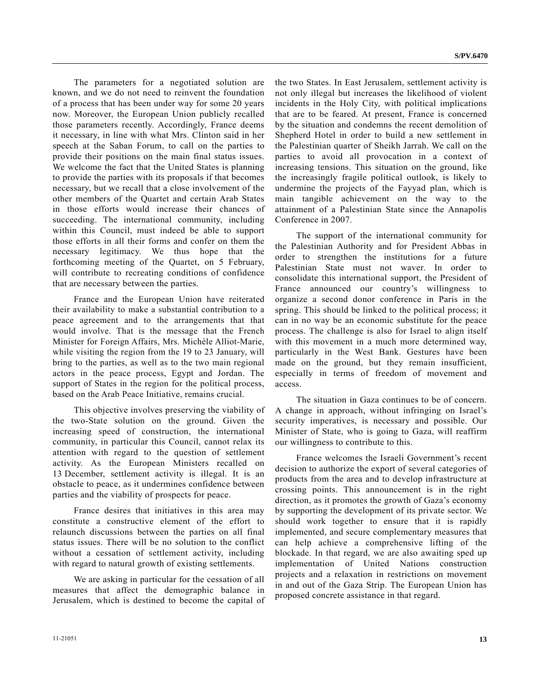The parameters for a negotiated solution are known, and we do not need to reinvent the foundation of a process that has been under way for some 20 years now. Moreover, the European Union publicly recalled those parameters recently. Accordingly, France deems it necessary, in line with what Mrs. Clinton said in her speech at the Saban Forum, to call on the parties to provide their positions on the main final status issues. We welcome the fact that the United States is planning to provide the parties with its proposals if that becomes necessary, but we recall that a close involvement of the other members of the Quartet and certain Arab States in those efforts would increase their chances of succeeding. The international community, including within this Council, must indeed be able to support those efforts in all their forms and confer on them the necessary legitimacy. We thus hope that the forthcoming meeting of the Quartet, on 5 February, will contribute to recreating conditions of confidence that are necessary between the parties.

 France and the European Union have reiterated their availability to make a substantial contribution to a peace agreement and to the arrangements that that would involve. That is the message that the French Minister for Foreign Affairs, Mrs. Michèle Alliot-Marie, while visiting the region from the 19 to 23 January, will bring to the parties, as well as to the two main regional actors in the peace process, Egypt and Jordan. The support of States in the region for the political process, based on the Arab Peace Initiative, remains crucial.

 This objective involves preserving the viability of the two-State solution on the ground. Given the increasing speed of construction, the international community, in particular this Council, cannot relax its attention with regard to the question of settlement activity. As the European Ministers recalled on 13 December, settlement activity is illegal. It is an obstacle to peace, as it undermines confidence between parties and the viability of prospects for peace.

 France desires that initiatives in this area may constitute a constructive element of the effort to relaunch discussions between the parties on all final status issues. There will be no solution to the conflict without a cessation of settlement activity, including with regard to natural growth of existing settlements.

 We are asking in particular for the cessation of all measures that affect the demographic balance in Jerusalem, which is destined to become the capital of

the two States. In East Jerusalem, settlement activity is not only illegal but increases the likelihood of violent incidents in the Holy City, with political implications that are to be feared. At present, France is concerned by the situation and condemns the recent demolition of Shepherd Hotel in order to build a new settlement in the Palestinian quarter of Sheikh Jarrah. We call on the parties to avoid all provocation in a context of increasing tensions. This situation on the ground, like the increasingly fragile political outlook, is likely to undermine the projects of the Fayyad plan, which is main tangible achievement on the way to the attainment of a Palestinian State since the Annapolis Conference in 2007.

 The support of the international community for the Palestinian Authority and for President Abbas in order to strengthen the institutions for a future Palestinian State must not waver. In order to consolidate this international support, the President of France announced our country's willingness to organize a second donor conference in Paris in the spring. This should be linked to the political process; it can in no way be an economic substitute for the peace process. The challenge is also for Israel to align itself with this movement in a much more determined way, particularly in the West Bank. Gestures have been made on the ground, but they remain insufficient, especially in terms of freedom of movement and access.

 The situation in Gaza continues to be of concern. A change in approach, without infringing on Israel's security imperatives, is necessary and possible. Our Minister of State, who is going to Gaza, will reaffirm our willingness to contribute to this.

 France welcomes the Israeli Government's recent decision to authorize the export of several categories of products from the area and to develop infrastructure at crossing points. This announcement is in the right direction, as it promotes the growth of Gaza's economy by supporting the development of its private sector. We should work together to ensure that it is rapidly implemented, and secure complementary measures that can help achieve a comprehensive lifting of the blockade. In that regard, we are also awaiting sped up implementation of United Nations construction projects and a relaxation in restrictions on movement in and out of the Gaza Strip. The European Union has proposed concrete assistance in that regard.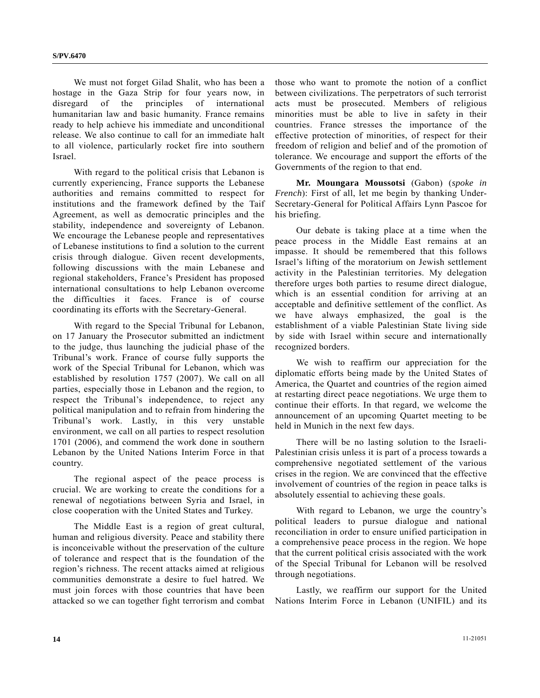We must not forget Gilad Shalit, who has been a hostage in the Gaza Strip for four years now, in disregard of the principles of international humanitarian law and basic humanity. France remains ready to help achieve his immediate and unconditional release. We also continue to call for an immediate halt to all violence, particularly rocket fire into southern Israel.

 With regard to the political crisis that Lebanon is currently experiencing, France supports the Lebanese authorities and remains committed to respect for institutions and the framework defined by the Taif Agreement, as well as democratic principles and the stability, independence and sovereignty of Lebanon. We encourage the Lebanese people and representatives of Lebanese institutions to find a solution to the current crisis through dialogue. Given recent developments, following discussions with the main Lebanese and regional stakeholders, France's President has proposed international consultations to help Lebanon overcome the difficulties it faces. France is of course coordinating its efforts with the Secretary-General.

 With regard to the Special Tribunal for Lebanon, on 17 January the Prosecutor submitted an indictment to the judge, thus launching the judicial phase of the Tribunal's work. France of course fully supports the work of the Special Tribunal for Lebanon, which was established by resolution 1757 (2007). We call on all parties, especially those in Lebanon and the region, to respect the Tribunal's independence, to reject any political manipulation and to refrain from hindering the Tribunal's work. Lastly, in this very unstable environment, we call on all parties to respect resolution 1701 (2006), and commend the work done in southern Lebanon by the United Nations Interim Force in that country.

 The regional aspect of the peace process is crucial. We are working to create the conditions for a renewal of negotiations between Syria and Israel, in close cooperation with the United States and Turkey.

 The Middle East is a region of great cultural, human and religious diversity. Peace and stability there is inconceivable without the preservation of the culture of tolerance and respect that is the foundation of the region's richness. The recent attacks aimed at religious communities demonstrate a desire to fuel hatred. We must join forces with those countries that have been attacked so we can together fight terrorism and combat those who want to promote the notion of a conflict between civilizations. The perpetrators of such terrorist acts must be prosecuted. Members of religious minorities must be able to live in safety in their countries. France stresses the importance of the effective protection of minorities, of respect for their freedom of religion and belief and of the promotion of tolerance. We encourage and support the efforts of the Governments of the region to that end.

**Mr. Moungara Moussotsi** (Gabon) (*spoke in French*): First of all, let me begin by thanking Under-Secretary-General for Political Affairs Lynn Pascoe for his briefing.

 Our debate is taking place at a time when the peace process in the Middle East remains at an impasse. It should be remembered that this follows Israel's lifting of the moratorium on Jewish settlement activity in the Palestinian territories. My delegation therefore urges both parties to resume direct dialogue, which is an essential condition for arriving at an acceptable and definitive settlement of the conflict. As we have always emphasized, the goal is the establishment of a viable Palestinian State living side by side with Israel within secure and internationally recognized borders.

 We wish to reaffirm our appreciation for the diplomatic efforts being made by the United States of America, the Quartet and countries of the region aimed at restarting direct peace negotiations. We urge them to continue their efforts. In that regard, we welcome the announcement of an upcoming Quartet meeting to be held in Munich in the next few days.

 There will be no lasting solution to the Israeli-Palestinian crisis unless it is part of a process towards a comprehensive negotiated settlement of the various crises in the region. We are convinced that the effective involvement of countries of the region in peace talks is absolutely essential to achieving these goals.

 With regard to Lebanon, we urge the country's political leaders to pursue dialogue and national reconciliation in order to ensure unified participation in a comprehensive peace process in the region. We hope that the current political crisis associated with the work of the Special Tribunal for Lebanon will be resolved through negotiations.

 Lastly, we reaffirm our support for the United Nations Interim Force in Lebanon (UNIFIL) and its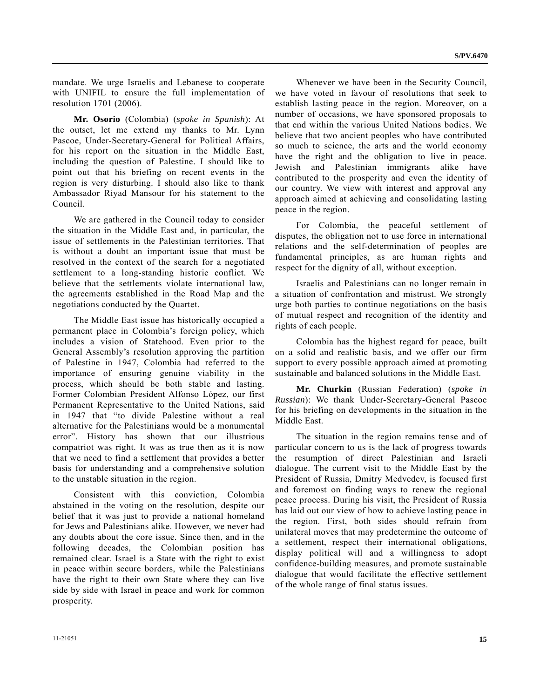mandate. We urge Israelis and Lebanese to cooperate with UNIFIL to ensure the full implementation of resolution 1701 (2006).

**Mr. Osorio** (Colombia) (*spoke in Spanish*): At the outset, let me extend my thanks to Mr. Lynn Pascoe, Under-Secretary-General for Political Affairs, for his report on the situation in the Middle East, including the question of Palestine. I should like to point out that his briefing on recent events in the region is very disturbing. I should also like to thank Ambassador Riyad Mansour for his statement to the Council.

 We are gathered in the Council today to consider the situation in the Middle East and, in particular, the issue of settlements in the Palestinian territories. That is without a doubt an important issue that must be resolved in the context of the search for a negotiated settlement to a long-standing historic conflict. We believe that the settlements violate international law, the agreements established in the Road Map and the negotiations conducted by the Quartet.

 The Middle East issue has historically occupied a permanent place in Colombia's foreign policy, which includes a vision of Statehood. Even prior to the General Assembly's resolution approving the partition of Palestine in 1947, Colombia had referred to the importance of ensuring genuine viability in the process, which should be both stable and lasting. Former Colombian President Alfonso López, our first Permanent Representative to the United Nations, said in 1947 that "to divide Palestine without a real alternative for the Palestinians would be a monumental error". History has shown that our illustrious compatriot was right. It was as true then as it is now that we need to find a settlement that provides a better basis for understanding and a comprehensive solution to the unstable situation in the region.

 Consistent with this conviction, Colombia abstained in the voting on the resolution, despite our belief that it was just to provide a national homeland for Jews and Palestinians alike. However, we never had any doubts about the core issue. Since then, and in the following decades, the Colombian position has remained clear. Israel is a State with the right to exist in peace within secure borders, while the Palestinians have the right to their own State where they can live side by side with Israel in peace and work for common prosperity.

 Whenever we have been in the Security Council, we have voted in favour of resolutions that seek to establish lasting peace in the region. Moreover, on a number of occasions, we have sponsored proposals to that end within the various United Nations bodies. We believe that two ancient peoples who have contributed so much to science, the arts and the world economy have the right and the obligation to live in peace. Jewish and Palestinian immigrants alike have contributed to the prosperity and even the identity of our country. We view with interest and approval any approach aimed at achieving and consolidating lasting peace in the region.

 For Colombia, the peaceful settlement of disputes, the obligation not to use force in international relations and the self-determination of peoples are fundamental principles, as are human rights and respect for the dignity of all, without exception.

 Israelis and Palestinians can no longer remain in a situation of confrontation and mistrust. We strongly urge both parties to continue negotiations on the basis of mutual respect and recognition of the identity and rights of each people.

 Colombia has the highest regard for peace, built on a solid and realistic basis, and we offer our firm support to every possible approach aimed at promoting sustainable and balanced solutions in the Middle East.

**Mr. Churkin** (Russian Federation) (*spoke in Russian*): We thank Under-Secretary-General Pascoe for his briefing on developments in the situation in the Middle East.

 The situation in the region remains tense and of particular concern to us is the lack of progress towards the resumption of direct Palestinian and Israeli dialogue. The current visit to the Middle East by the President of Russia, Dmitry Medvedev, is focused first and foremost on finding ways to renew the regional peace process. During his visit, the President of Russia has laid out our view of how to achieve lasting peace in the region. First, both sides should refrain from unilateral moves that may predetermine the outcome of a settlement, respect their international obligations, display political will and a willingness to adopt confidence-building measures, and promote sustainable dialogue that would facilitate the effective settlement of the whole range of final status issues.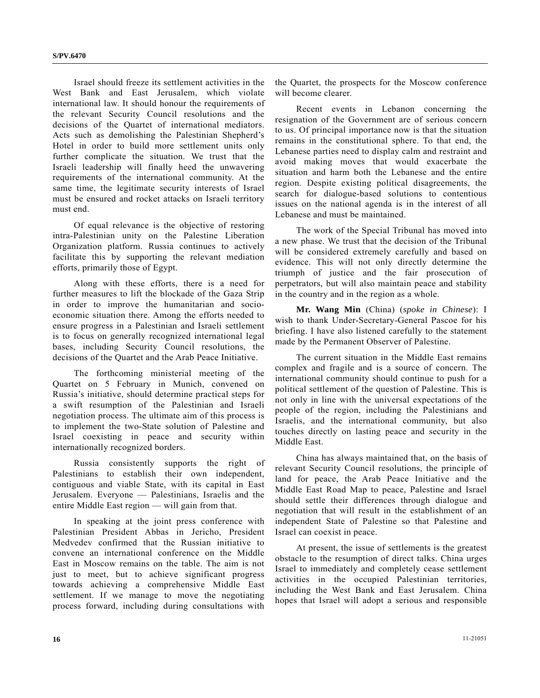Israel should freeze its settlement activities in the West Bank and East Jerusalem, which violate international law. It should honour the requirements of the relevant Security Council resolutions and the decisions of the Quartet of international mediators. Acts such as demolishing the Palestinian Shepherd's Hotel in order to build more settlement units only further complicate the situation. We trust that the Israeli leadership will finally heed the unwavering requirements of the international community. At the same time, the legitimate security interests of Israel must be ensured and rocket attacks on Israeli territory must end.

 Of equal relevance is the objective of restoring intra-Palestinian unity on the Palestine Liberation Organization platform. Russia continues to actively facilitate this by supporting the relevant mediation efforts, primarily those of Egypt.

 Along with these efforts, there is a need for further measures to lift the blockade of the Gaza Strip in order to improve the humanitarian and socioeconomic situation there. Among the efforts needed to ensure progress in a Palestinian and Israeli settlement is to focus on generally recognized international legal bases, including Security Council resolutions, the decisions of the Quartet and the Arab Peace Initiative.

 The forthcoming ministerial meeting of the Quartet on 5 February in Munich, convened on Russia's initiative, should determine practical steps for a swift resumption of the Palestinian and Israeli negotiation process. The ultimate aim of this process is to implement the two-State solution of Palestine and Israel coexisting in peace and security within internationally recognized borders.

 Russia consistently supports the right of Palestinians to establish their own independent, contiguous and viable State, with its capital in East Jerusalem. Everyone — Palestinians, Israelis and the entire Middle East region — will gain from that.

 In speaking at the joint press conference with Palestinian President Abbas in Jericho, President Medvedev confirmed that the Russian initiative to convene an international conference on the Middle East in Moscow remains on the table. The aim is not just to meet, but to achieve significant progress towards achieving a comprehensive Middle East settlement. If we manage to move the negotiating process forward, including during consultations with

the Quartet, the prospects for the Moscow conference will become clearer.

 Recent events in Lebanon concerning the resignation of the Government are of serious concern to us. Of principal importance now is that the situation remains in the constitutional sphere. To that end, the Lebanese parties need to display calm and restraint and avoid making moves that would exacerbate the situation and harm both the Lebanese and the entire region. Despite existing political disagreements, the search for dialogue-based solutions to contentious issues on the national agenda is in the interest of all Lebanese and must be maintained.

 The work of the Special Tribunal has moved into a new phase. We trust that the decision of the Tribunal will be considered extremely carefully and based on evidence. This will not only directly determine the triumph of justice and the fair prosecution of perpetrators, but will also maintain peace and stability in the country and in the region as a whole.

**Mr. Wang Min** (China) (*spoke in Chinese*): I wish to thank Under-Secretary-General Pascoe for his briefing. I have also listened carefully to the statement made by the Permanent Observer of Palestine.

 The current situation in the Middle East remains complex and fragile and is a source of concern. The international community should continue to push for a political settlement of the question of Palestine. This is not only in line with the universal expectations of the people of the region, including the Palestinians and Israelis, and the international community, but also touches directly on lasting peace and security in the Middle East.

 China has always maintained that, on the basis of relevant Security Council resolutions, the principle of land for peace, the Arab Peace Initiative and the Middle East Road Map to peace, Palestine and Israel should settle their differences through dialogue and negotiation that will result in the establishment of an independent State of Palestine so that Palestine and Israel can coexist in peace.

 At present, the issue of settlements is the greatest obstacle to the resumption of direct talks. China urges Israel to immediately and completely cease settlement activities in the occupied Palestinian territories, including the West Bank and East Jerusalem. China hopes that Israel will adopt a serious and responsible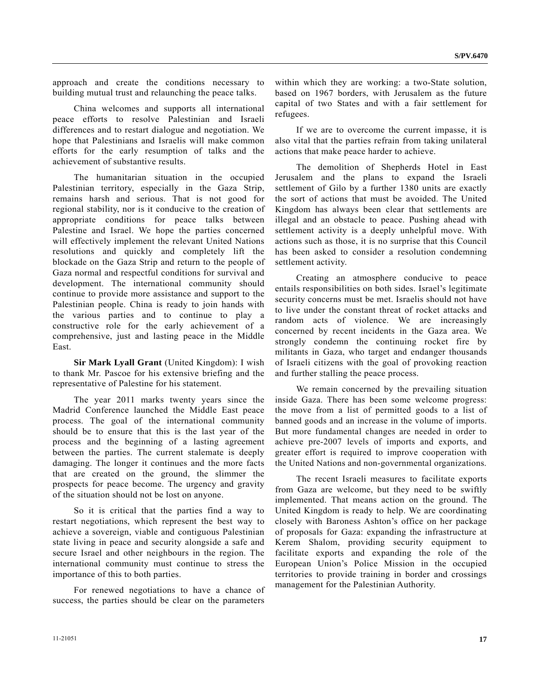approach and create the conditions necessary to building mutual trust and relaunching the peace talks.

 China welcomes and supports all international peace efforts to resolve Palestinian and Israeli differences and to restart dialogue and negotiation. We hope that Palestinians and Israelis will make common efforts for the early resumption of talks and the achievement of substantive results.

 The humanitarian situation in the occupied Palestinian territory, especially in the Gaza Strip, remains harsh and serious. That is not good for regional stability, nor is it conducive to the creation of appropriate conditions for peace talks between Palestine and Israel. We hope the parties concerned will effectively implement the relevant United Nations resolutions and quickly and completely lift the blockade on the Gaza Strip and return to the people of Gaza normal and respectful conditions for survival and development. The international community should continue to provide more assistance and support to the Palestinian people. China is ready to join hands with the various parties and to continue to play a constructive role for the early achievement of a comprehensive, just and lasting peace in the Middle East.

**Sir Mark Lyall Grant** (United Kingdom): I wish to thank Mr. Pascoe for his extensive briefing and the representative of Palestine for his statement.

 The year 2011 marks twenty years since the Madrid Conference launched the Middle East peace process. The goal of the international community should be to ensure that this is the last year of the process and the beginning of a lasting agreement between the parties. The current stalemate is deeply damaging. The longer it continues and the more facts that are created on the ground, the slimmer the prospects for peace become. The urgency and gravity of the situation should not be lost on anyone.

 So it is critical that the parties find a way to restart negotiations, which represent the best way to achieve a sovereign, viable and contiguous Palestinian state living in peace and security alongside a safe and secure Israel and other neighbours in the region. The international community must continue to stress the importance of this to both parties.

 For renewed negotiations to have a chance of success, the parties should be clear on the parameters

within which they are working: a two-State solution, based on 1967 borders, with Jerusalem as the future capital of two States and with a fair settlement for refugees.

 If we are to overcome the current impasse, it is also vital that the parties refrain from taking unilateral actions that make peace harder to achieve.

 The demolition of Shepherds Hotel in East Jerusalem and the plans to expand the Israeli settlement of Gilo by a further 1380 units are exactly the sort of actions that must be avoided. The United Kingdom has always been clear that settlements are illegal and an obstacle to peace. Pushing ahead with settlement activity is a deeply unhelpful move. With actions such as those, it is no surprise that this Council has been asked to consider a resolution condemning settlement activity.

 Creating an atmosphere conducive to peace entails responsibilities on both sides. Israel's legitimate security concerns must be met. Israelis should not have to live under the constant threat of rocket attacks and random acts of violence. We are increasingly concerned by recent incidents in the Gaza area. We strongly condemn the continuing rocket fire by militants in Gaza, who target and endanger thousands of Israeli citizens with the goal of provoking reaction and further stalling the peace process.

 We remain concerned by the prevailing situation inside Gaza. There has been some welcome progress: the move from a list of permitted goods to a list of banned goods and an increase in the volume of imports. But more fundamental changes are needed in order to achieve pre-2007 levels of imports and exports, and greater effort is required to improve cooperation with the United Nations and non-governmental organizations.

 The recent Israeli measures to facilitate exports from Gaza are welcome, but they need to be swiftly implemented. That means action on the ground. The United Kingdom is ready to help. We are coordinating closely with Baroness Ashton's office on her package of proposals for Gaza: expanding the infrastructure at Kerem Shalom, providing security equipment to facilitate exports and expanding the role of the European Union's Police Mission in the occupied territories to provide training in border and crossings management for the Palestinian Authority.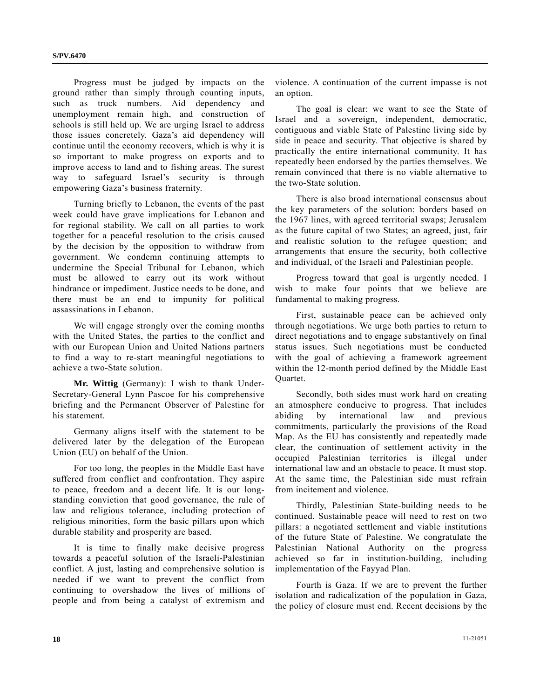Progress must be judged by impacts on the ground rather than simply through counting inputs, such as truck numbers. Aid dependency and unemployment remain high, and construction of schools is still held up. We are urging Israel to address those issues concretely. Gaza's aid dependency will continue until the economy recovers, which is why it is so important to make progress on exports and to improve access to land and to fishing areas. The surest way to safeguard Israel's security is through empowering Gaza's business fraternity.

 Turning briefly to Lebanon, the events of the past week could have grave implications for Lebanon and for regional stability. We call on all parties to work together for a peaceful resolution to the crisis caused by the decision by the opposition to withdraw from government. We condemn continuing attempts to undermine the Special Tribunal for Lebanon, which must be allowed to carry out its work without hindrance or impediment. Justice needs to be done, and there must be an end to impunity for political assassinations in Lebanon.

 We will engage strongly over the coming months with the United States, the parties to the conflict and with our European Union and United Nations partners to find a way to re-start meaningful negotiations to achieve a two-State solution.

**Mr. Wittig** (Germany): I wish to thank Under-Secretary-General Lynn Pascoe for his comprehensive briefing and the Permanent Observer of Palestine for his statement.

 Germany aligns itself with the statement to be delivered later by the delegation of the European Union (EU) on behalf of the Union.

 For too long, the peoples in the Middle East have suffered from conflict and confrontation. They aspire to peace, freedom and a decent life. It is our longstanding conviction that good governance, the rule of law and religious tolerance, including protection of religious minorities, form the basic pillars upon which durable stability and prosperity are based.

 It is time to finally make decisive progress towards a peaceful solution of the Israeli-Palestinian conflict. A just, lasting and comprehensive solution is needed if we want to prevent the conflict from continuing to overshadow the lives of millions of people and from being a catalyst of extremism and

violence. A continuation of the current impasse is not an option.

 The goal is clear: we want to see the State of Israel and a sovereign, independent, democratic, contiguous and viable State of Palestine living side by side in peace and security. That objective is shared by practically the entire international community. It has repeatedly been endorsed by the parties themselves. We remain convinced that there is no viable alternative to the two-State solution.

 There is also broad international consensus about the key parameters of the solution: borders based on the 1967 lines, with agreed territorial swaps; Jerusalem as the future capital of two States; an agreed, just, fair and realistic solution to the refugee question; and arrangements that ensure the security, both collective and individual, of the Israeli and Palestinian people.

 Progress toward that goal is urgently needed. I wish to make four points that we believe are fundamental to making progress.

 First, sustainable peace can be achieved only through negotiations. We urge both parties to return to direct negotiations and to engage substantively on final status issues. Such negotiations must be conducted with the goal of achieving a framework agreement within the 12-month period defined by the Middle East Quartet.

 Secondly, both sides must work hard on creating an atmosphere conducive to progress. That includes abiding by international law and previous commitments, particularly the provisions of the Road Map. As the EU has consistently and repeatedly made clear, the continuation of settlement activity in the occupied Palestinian territories is illegal under international law and an obstacle to peace. It must stop. At the same time, the Palestinian side must refrain from incitement and violence.

 Thirdly, Palestinian State-building needs to be continued. Sustainable peace will need to rest on two pillars: a negotiated settlement and viable institutions of the future State of Palestine. We congratulate the Palestinian National Authority on the progress achieved so far in institution-building, including implementation of the Fayyad Plan.

 Fourth is Gaza. If we are to prevent the further isolation and radicalization of the population in Gaza, the policy of closure must end. Recent decisions by the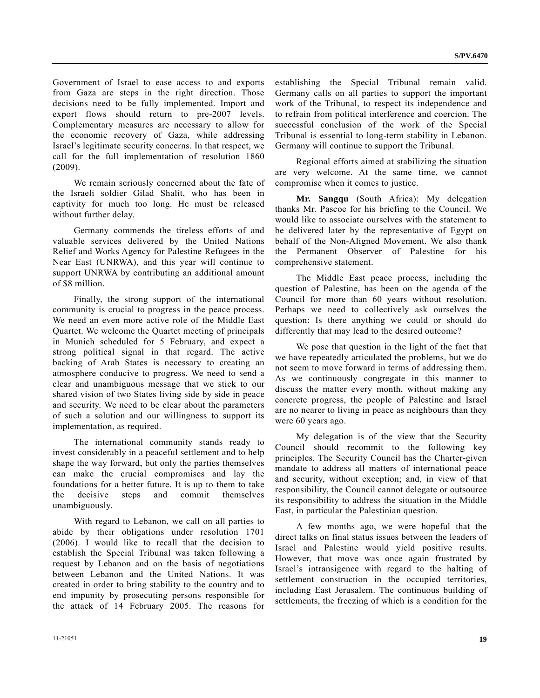Government of Israel to ease access to and exports from Gaza are steps in the right direction. Those decisions need to be fully implemented. Import and export flows should return to pre-2007 levels. Complementary measures are necessary to allow for the economic recovery of Gaza, while addressing Israel's legitimate security concerns. In that respect, we call for the full implementation of resolution 1860 (2009).

 We remain seriously concerned about the fate of the Israeli soldier Gilad Shalit, who has been in captivity for much too long. He must be released without further delay.

 Germany commends the tireless efforts of and valuable services delivered by the United Nations Relief and Works Agency for Palestine Refugees in the Near East (UNRWA), and this year will continue to support UNRWA by contributing an additional amount of \$8 million.

 Finally, the strong support of the international community is crucial to progress in the peace process. We need an even more active role of the Middle East Quartet. We welcome the Quartet meeting of principals in Munich scheduled for 5 February, and expect a strong political signal in that regard. The active backing of Arab States is necessary to creating an atmosphere conducive to progress. We need to send a clear and unambiguous message that we stick to our shared vision of two States living side by side in peace and security. We need to be clear about the parameters of such a solution and our willingness to support its implementation, as required.

 The international community stands ready to invest considerably in a peaceful settlement and to help shape the way forward, but only the parties themselves can make the crucial compromises and lay the foundations for a better future. It is up to them to take the decisive steps and commit themselves unambiguously.

 With regard to Lebanon, we call on all parties to abide by their obligations under resolution 1701 (2006). I would like to recall that the decision to establish the Special Tribunal was taken following a request by Lebanon and on the basis of negotiations between Lebanon and the United Nations. It was created in order to bring stability to the country and to end impunity by prosecuting persons responsible for the attack of 14 February 2005. The reasons for establishing the Special Tribunal remain valid. Germany calls on all parties to support the important work of the Tribunal, to respect its independence and to refrain from political interference and coercion. The successful conclusion of the work of the Special Tribunal is essential to long-term stability in Lebanon. Germany will continue to support the Tribunal.

 Regional efforts aimed at stabilizing the situation are very welcome. At the same time, we cannot compromise when it comes to justice.

**Mr. Sangqu** (South Africa): My delegation thanks Mr. Pascoe for his briefing to the Council. We would like to associate ourselves with the statement to be delivered later by the representative of Egypt on behalf of the Non-Aligned Movement. We also thank the Permanent Observer of Palestine for his comprehensive statement.

 The Middle East peace process, including the question of Palestine, has been on the agenda of the Council for more than 60 years without resolution. Perhaps we need to collectively ask ourselves the question: Is there anything we could or should do differently that may lead to the desired outcome?

 We pose that question in the light of the fact that we have repeatedly articulated the problems, but we do not seem to move forward in terms of addressing them. As we continuously congregate in this manner to discuss the matter every month, without making any concrete progress, the people of Palestine and Israel are no nearer to living in peace as neighbours than they were 60 years ago.

 My delegation is of the view that the Security Council should recommit to the following key principles. The Security Council has the Charter-given mandate to address all matters of international peace and security, without exception; and, in view of that responsibility, the Council cannot delegate or outsource its responsibility to address the situation in the Middle East, in particular the Palestinian question.

 A few months ago, we were hopeful that the direct talks on final status issues between the leaders of Israel and Palestine would yield positive results. However, that move was once again frustrated by Israel's intransigence with regard to the halting of settlement construction in the occupied territories, including East Jerusalem. The continuous building of settlements, the freezing of which is a condition for the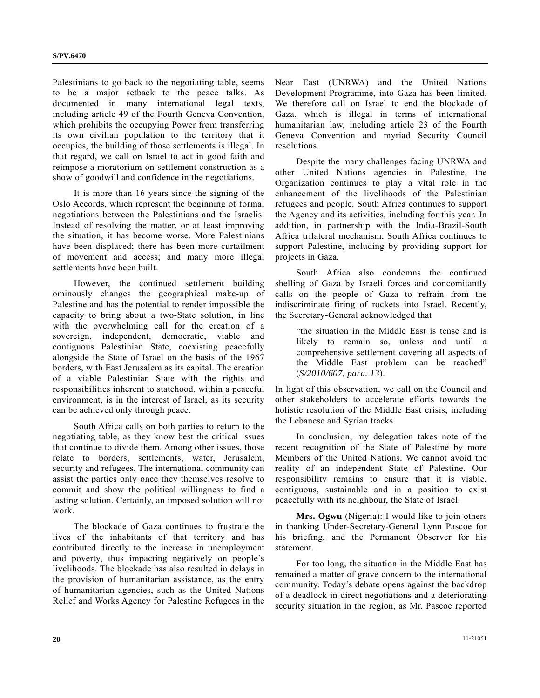Palestinians to go back to the negotiating table, seems to be a major setback to the peace talks. As documented in many international legal texts, including article 49 of the Fourth Geneva Convention, which prohibits the occupying Power from transferring its own civilian population to the territory that it occupies, the building of those settlements is illegal. In that regard, we call on Israel to act in good faith and reimpose a moratorium on settlement construction as a show of goodwill and confidence in the negotiations.

 It is more than 16 years since the signing of the Oslo Accords, which represent the beginning of formal negotiations between the Palestinians and the Israelis. Instead of resolving the matter, or at least improving the situation, it has become worse. More Palestinians have been displaced; there has been more curtailment of movement and access; and many more illegal settlements have been built.

 However, the continued settlement building ominously changes the geographical make-up of Palestine and has the potential to render impossible the capacity to bring about a two-State solution, in line with the overwhelming call for the creation of a sovereign, independent, democratic, viable and contiguous Palestinian State, coexisting peacefully alongside the State of Israel on the basis of the 1967 borders, with East Jerusalem as its capital. The creation of a viable Palestinian State with the rights and responsibilities inherent to statehood, within a peaceful environment, is in the interest of Israel, as its security can be achieved only through peace.

 South Africa calls on both parties to return to the negotiating table, as they know best the critical issues that continue to divide them. Among other issues, those relate to borders, settlements, water, Jerusalem, security and refugees. The international community can assist the parties only once they themselves resolve to commit and show the political willingness to find a lasting solution. Certainly, an imposed solution will not work.

 The blockade of Gaza continues to frustrate the lives of the inhabitants of that territory and has contributed directly to the increase in unemployment and poverty, thus impacting negatively on people's livelihoods. The blockade has also resulted in delays in the provision of humanitarian assistance, as the entry of humanitarian agencies, such as the United Nations Relief and Works Agency for Palestine Refugees in the

Near East (UNRWA) and the United Nations Development Programme, into Gaza has been limited. We therefore call on Israel to end the blockade of Gaza, which is illegal in terms of international humanitarian law, including article 23 of the Fourth Geneva Convention and myriad Security Council resolutions.

 Despite the many challenges facing UNRWA and other United Nations agencies in Palestine, the Organization continues to play a vital role in the enhancement of the livelihoods of the Palestinian refugees and people. South Africa continues to support the Agency and its activities, including for this year. In addition, in partnership with the India-Brazil-South Africa trilateral mechanism, South Africa continues to support Palestine, including by providing support for projects in Gaza.

 South Africa also condemns the continued shelling of Gaza by Israeli forces and concomitantly calls on the people of Gaza to refrain from the indiscriminate firing of rockets into Israel. Recently, the Secretary-General acknowledged that

 "the situation in the Middle East is tense and is likely to remain so, unless and until a comprehensive settlement covering all aspects of the Middle East problem can be reached" (*S/2010/607, para. 13*).

In light of this observation, we call on the Council and other stakeholders to accelerate efforts towards the holistic resolution of the Middle East crisis, including the Lebanese and Syrian tracks.

 In conclusion, my delegation takes note of the recent recognition of the State of Palestine by more Members of the United Nations. We cannot avoid the reality of an independent State of Palestine. Our responsibility remains to ensure that it is viable, contiguous, sustainable and in a position to exist peacefully with its neighbour, the State of Israel.

**Mrs. Ogwu** (Nigeria): I would like to join others in thanking Under-Secretary-General Lynn Pascoe for his briefing, and the Permanent Observer for his statement.

 For too long, the situation in the Middle East has remained a matter of grave concern to the international community. Today's debate opens against the backdrop of a deadlock in direct negotiations and a deteriorating security situation in the region, as Mr. Pascoe reported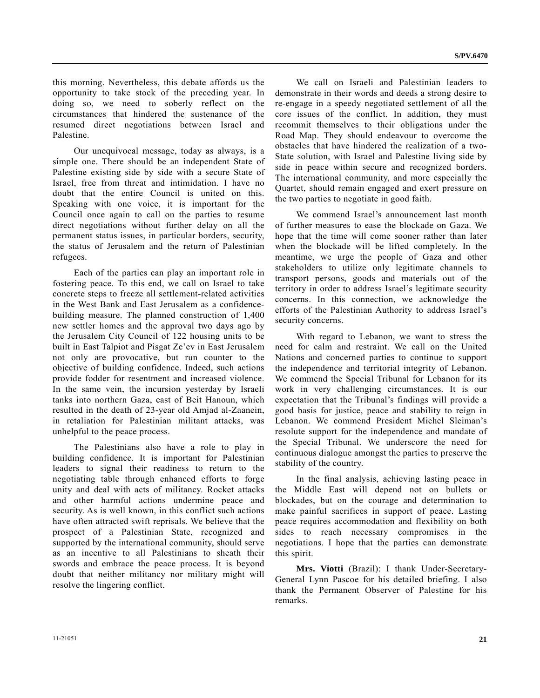this morning. Nevertheless, this debate affords us the opportunity to take stock of the preceding year. In doing so, we need to soberly reflect on the circumstances that hindered the sustenance of the resumed direct negotiations between Israel and Palestine.

 Our unequivocal message, today as always, is a simple one. There should be an independent State of Palestine existing side by side with a secure State of Israel, free from threat and intimidation. I have no doubt that the entire Council is united on this. Speaking with one voice, it is important for the Council once again to call on the parties to resume direct negotiations without further delay on all the permanent status issues, in particular borders, security, the status of Jerusalem and the return of Palestinian refugees.

 Each of the parties can play an important role in fostering peace. To this end, we call on Israel to take concrete steps to freeze all settlement-related activities in the West Bank and East Jerusalem as a confidencebuilding measure. The planned construction of 1,400 new settler homes and the approval two days ago by the Jerusalem City Council of 122 housing units to be built in East Talpiot and Pisgat Ze'ev in East Jerusalem not only are provocative, but run counter to the objective of building confidence. Indeed, such actions provide fodder for resentment and increased violence. In the same vein, the incursion yesterday by Israeli tanks into northern Gaza, east of Beit Hanoun, which resulted in the death of 23-year old Amjad al-Zaanein, in retaliation for Palestinian militant attacks, was unhelpful to the peace process.

 The Palestinians also have a role to play in building confidence. It is important for Palestinian leaders to signal their readiness to return to the negotiating table through enhanced efforts to forge unity and deal with acts of militancy. Rocket attacks and other harmful actions undermine peace and security. As is well known, in this conflict such actions have often attracted swift reprisals. We believe that the prospect of a Palestinian State, recognized and supported by the international community, should serve as an incentive to all Palestinians to sheath their swords and embrace the peace process. It is beyond doubt that neither militancy nor military might will resolve the lingering conflict.

 We call on Israeli and Palestinian leaders to demonstrate in their words and deeds a strong desire to re-engage in a speedy negotiated settlement of all the core issues of the conflict. In addition, they must recommit themselves to their obligations under the Road Map. They should endeavour to overcome the obstacles that have hindered the realization of a two-State solution, with Israel and Palestine living side by side in peace within secure and recognized borders. The international community, and more especially the Quartet, should remain engaged and exert pressure on the two parties to negotiate in good faith.

 We commend Israel's announcement last month of further measures to ease the blockade on Gaza. We hope that the time will come sooner rather than later when the blockade will be lifted completely. In the meantime, we urge the people of Gaza and other stakeholders to utilize only legitimate channels to transport persons, goods and materials out of the territory in order to address Israel's legitimate security concerns. In this connection, we acknowledge the efforts of the Palestinian Authority to address Israel's security concerns.

 With regard to Lebanon, we want to stress the need for calm and restraint. We call on the United Nations and concerned parties to continue to support the independence and territorial integrity of Lebanon. We commend the Special Tribunal for Lebanon for its work in very challenging circumstances. It is our expectation that the Tribunal's findings will provide a good basis for justice, peace and stability to reign in Lebanon. We commend President Michel Sleiman's resolute support for the independence and mandate of the Special Tribunal. We underscore the need for continuous dialogue amongst the parties to preserve the stability of the country.

 In the final analysis, achieving lasting peace in the Middle East will depend not on bullets or blockades, but on the courage and determination to make painful sacrifices in support of peace. Lasting peace requires accommodation and flexibility on both sides to reach necessary compromises in the negotiations. I hope that the parties can demonstrate this spirit.

**Mrs. Viotti** (Brazil): I thank Under-Secretary-General Lynn Pascoe for his detailed briefing. I also thank the Permanent Observer of Palestine for his remarks.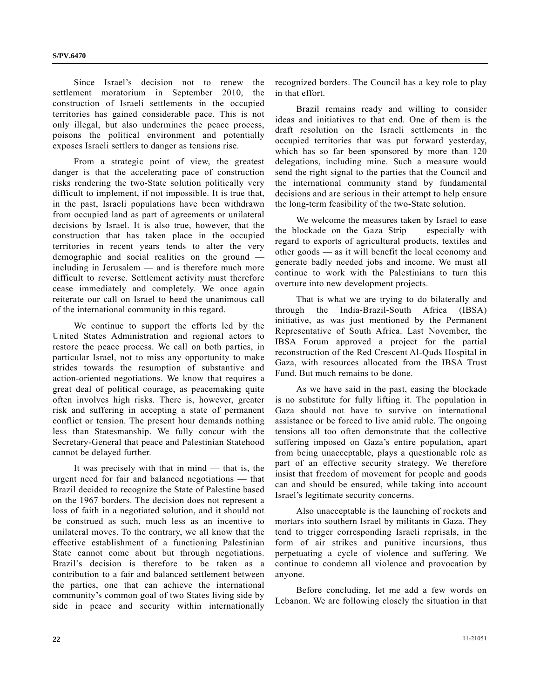Since Israel's decision not to renew the settlement moratorium in September 2010, the construction of Israeli settlements in the occupied territories has gained considerable pace. This is not only illegal, but also undermines the peace process, poisons the political environment and potentially exposes Israeli settlers to danger as tensions rise.

 From a strategic point of view, the greatest danger is that the accelerating pace of construction risks rendering the two-State solution politically very difficult to implement, if not impossible. It is true that, in the past, Israeli populations have been withdrawn from occupied land as part of agreements or unilateral decisions by Israel. It is also true, however, that the construction that has taken place in the occupied territories in recent years tends to alter the very demographic and social realities on the ground including in Jerusalem — and is therefore much more difficult to reverse. Settlement activity must therefore cease immediately and completely. We once again reiterate our call on Israel to heed the unanimous call of the international community in this regard.

 We continue to support the efforts led by the United States Administration and regional actors to restore the peace process. We call on both parties, in particular Israel, not to miss any opportunity to make strides towards the resumption of substantive and action-oriented negotiations. We know that requires a great deal of political courage, as peacemaking quite often involves high risks. There is, however, greater risk and suffering in accepting a state of permanent conflict or tension. The present hour demands nothing less than Statesmanship. We fully concur with the Secretary-General that peace and Palestinian Statehood cannot be delayed further.

 It was precisely with that in mind — that is, the urgent need for fair and balanced negotiations — that Brazil decided to recognize the State of Palestine based on the 1967 borders. The decision does not represent a loss of faith in a negotiated solution, and it should not be construed as such, much less as an incentive to unilateral moves. To the contrary, we all know that the effective establishment of a functioning Palestinian State cannot come about but through negotiations. Brazil's decision is therefore to be taken as a contribution to a fair and balanced settlement between the parties, one that can achieve the international community's common goal of two States living side by side in peace and security within internationally

recognized borders. The Council has a key role to play in that effort.

 Brazil remains ready and willing to consider ideas and initiatives to that end. One of them is the draft resolution on the Israeli settlements in the occupied territories that was put forward yesterday, which has so far been sponsored by more than 120 delegations, including mine. Such a measure would send the right signal to the parties that the Council and the international community stand by fundamental decisions and are serious in their attempt to help ensure the long-term feasibility of the two-State solution.

 We welcome the measures taken by Israel to ease the blockade on the Gaza Strip — especially with regard to exports of agricultural products, textiles and other goods — as it will benefit the local economy and generate badly needed jobs and income. We must all continue to work with the Palestinians to turn this overture into new development projects.

 That is what we are trying to do bilaterally and through the India-Brazil-South Africa (IBSA) initiative, as was just mentioned by the Permanent Representative of South Africa. Last November, the IBSA Forum approved a project for the partial reconstruction of the Red Crescent Al-Quds Hospital in Gaza, with resources allocated from the IBSA Trust Fund. But much remains to be done.

 As we have said in the past, easing the blockade is no substitute for fully lifting it. The population in Gaza should not have to survive on international assistance or be forced to live amid ruble. The ongoing tensions all too often demonstrate that the collective suffering imposed on Gaza's entire population, apart from being unacceptable, plays a questionable role as part of an effective security strategy. We therefore insist that freedom of movement for people and goods can and should be ensured, while taking into account Israel's legitimate security concerns.

 Also unacceptable is the launching of rockets and mortars into southern Israel by militants in Gaza. They tend to trigger corresponding Israeli reprisals, in the form of air strikes and punitive incursions, thus perpetuating a cycle of violence and suffering. We continue to condemn all violence and provocation by anyone.

 Before concluding, let me add a few words on Lebanon. We are following closely the situation in that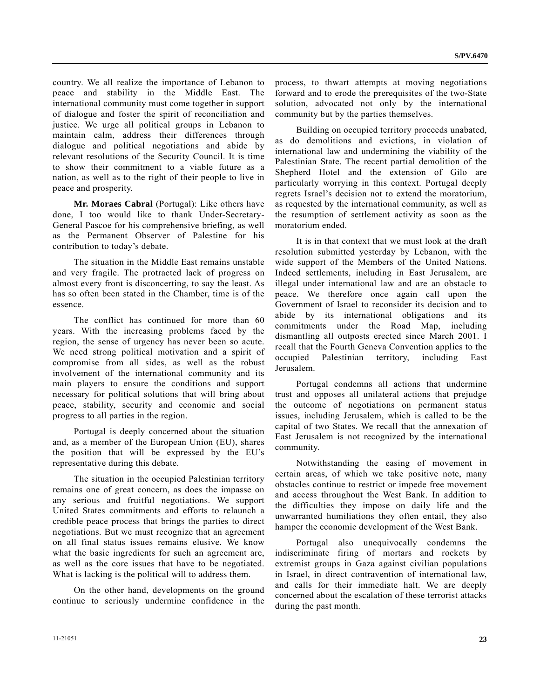country. We all realize the importance of Lebanon to peace and stability in the Middle East. The international community must come together in support of dialogue and foster the spirit of reconciliation and justice. We urge all political groups in Lebanon to maintain calm, address their differences through dialogue and political negotiations and abide by relevant resolutions of the Security Council. It is time to show their commitment to a viable future as a nation, as well as to the right of their people to live in peace and prosperity.

**Mr. Moraes Cabral** (Portugal): Like others have done, I too would like to thank Under-Secretary-General Pascoe for his comprehensive briefing, as well as the Permanent Observer of Palestine for his contribution to today's debate.

 The situation in the Middle East remains unstable and very fragile. The protracted lack of progress on almost every front is disconcerting, to say the least. As has so often been stated in the Chamber, time is of the essence.

 The conflict has continued for more than 60 years. With the increasing problems faced by the region, the sense of urgency has never been so acute. We need strong political motivation and a spirit of compromise from all sides, as well as the robust involvement of the international community and its main players to ensure the conditions and support necessary for political solutions that will bring about peace, stability, security and economic and social progress to all parties in the region.

 Portugal is deeply concerned about the situation and, as a member of the European Union (EU), shares the position that will be expressed by the EU's representative during this debate.

 The situation in the occupied Palestinian territory remains one of great concern, as does the impasse on any serious and fruitful negotiations. We support United States commitments and efforts to relaunch a credible peace process that brings the parties to direct negotiations. But we must recognize that an agreement on all final status issues remains elusive. We know what the basic ingredients for such an agreement are, as well as the core issues that have to be negotiated. What is lacking is the political will to address them.

 On the other hand, developments on the ground continue to seriously undermine confidence in the process, to thwart attempts at moving negotiations forward and to erode the prerequisites of the two-State solution, advocated not only by the international community but by the parties themselves.

 Building on occupied territory proceeds unabated, as do demolitions and evictions, in violation of international law and undermining the viability of the Palestinian State. The recent partial demolition of the Shepherd Hotel and the extension of Gilo are particularly worrying in this context. Portugal deeply regrets Israel's decision not to extend the moratorium, as requested by the international community, as well as the resumption of settlement activity as soon as the moratorium ended.

 It is in that context that we must look at the draft resolution submitted yesterday by Lebanon, with the wide support of the Members of the United Nations. Indeed settlements, including in East Jerusalem, are illegal under international law and are an obstacle to peace. We therefore once again call upon the Government of Israel to reconsider its decision and to abide by its international obligations and its commitments under the Road Map, including dismantling all outposts erected since March 2001. I recall that the Fourth Geneva Convention applies to the occupied Palestinian territory, including East Jerusalem.

 Portugal condemns all actions that undermine trust and opposes all unilateral actions that prejudge the outcome of negotiations on permanent status issues, including Jerusalem, which is called to be the capital of two States. We recall that the annexation of East Jerusalem is not recognized by the international community.

 Notwithstanding the easing of movement in certain areas, of which we take positive note, many obstacles continue to restrict or impede free movement and access throughout the West Bank. In addition to the difficulties they impose on daily life and the unwarranted humiliations they often entail, they also hamper the economic development of the West Bank.

 Portugal also unequivocally condemns the indiscriminate firing of mortars and rockets by extremist groups in Gaza against civilian populations in Israel, in direct contravention of international law, and calls for their immediate halt. We are deeply concerned about the escalation of these terrorist attacks during the past month.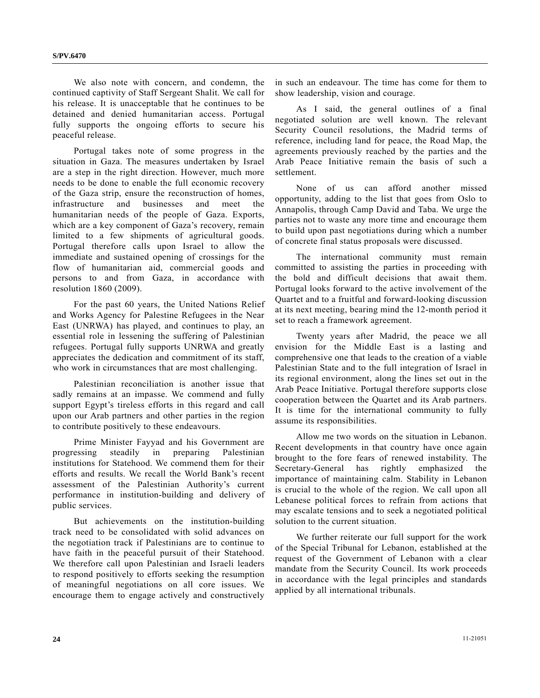We also note with concern, and condemn, the continued captivity of Staff Sergeant Shalit. We call for his release. It is unacceptable that he continues to be detained and denied humanitarian access. Portugal fully supports the ongoing efforts to secure his peaceful release.

 Portugal takes note of some progress in the situation in Gaza. The measures undertaken by Israel are a step in the right direction. However, much more needs to be done to enable the full economic recovery of the Gaza strip, ensure the reconstruction of homes, infrastructure and businesses and meet the humanitarian needs of the people of Gaza. Exports, which are a key component of Gaza's recovery, remain limited to a few shipments of agricultural goods. Portugal therefore calls upon Israel to allow the immediate and sustained opening of crossings for the flow of humanitarian aid, commercial goods and persons to and from Gaza, in accordance with resolution 1860 (2009).

 For the past 60 years, the United Nations Relief and Works Agency for Palestine Refugees in the Near East (UNRWA) has played, and continues to play, an essential role in lessening the suffering of Palestinian refugees. Portugal fully supports UNRWA and greatly appreciates the dedication and commitment of its staff, who work in circumstances that are most challenging.

 Palestinian reconciliation is another issue that sadly remains at an impasse. We commend and fully support Egypt's tireless efforts in this regard and call upon our Arab partners and other parties in the region to contribute positively to these endeavours.

 Prime Minister Fayyad and his Government are progressing steadily in preparing Palestinian institutions for Statehood. We commend them for their efforts and results. We recall the World Bank's recent assessment of the Palestinian Authority's current performance in institution-building and delivery of public services.

 But achievements on the institution-building track need to be consolidated with solid advances on the negotiation track if Palestinians are to continue to have faith in the peaceful pursuit of their Statehood. We therefore call upon Palestinian and Israeli leaders to respond positively to efforts seeking the resumption of meaningful negotiations on all core issues. We encourage them to engage actively and constructively

in such an endeavour. The time has come for them to show leadership, vision and courage.

 As I said, the general outlines of a final negotiated solution are well known. The relevant Security Council resolutions, the Madrid terms of reference, including land for peace, the Road Map, the agreements previously reached by the parties and the Arab Peace Initiative remain the basis of such a settlement.

 None of us can afford another missed opportunity, adding to the list that goes from Oslo to Annapolis, through Camp David and Taba. We urge the parties not to waste any more time and encourage them to build upon past negotiations during which a number of concrete final status proposals were discussed.

 The international community must remain committed to assisting the parties in proceeding with the bold and difficult decisions that await them. Portugal looks forward to the active involvement of the Quartet and to a fruitful and forward-looking discussion at its next meeting, bearing mind the 12-month period it set to reach a framework agreement.

 Twenty years after Madrid, the peace we all envision for the Middle East is a lasting and comprehensive one that leads to the creation of a viable Palestinian State and to the full integration of Israel in its regional environment, along the lines set out in the Arab Peace Initiative. Portugal therefore supports close cooperation between the Quartet and its Arab partners. It is time for the international community to fully assume its responsibilities.

 Allow me two words on the situation in Lebanon. Recent developments in that country have once again brought to the fore fears of renewed instability. The Secretary-General has rightly emphasized the importance of maintaining calm. Stability in Lebanon is crucial to the whole of the region. We call upon all Lebanese political forces to refrain from actions that may escalate tensions and to seek a negotiated political solution to the current situation.

 We further reiterate our full support for the work of the Special Tribunal for Lebanon, established at the request of the Government of Lebanon with a clear mandate from the Security Council. Its work proceeds in accordance with the legal principles and standards applied by all international tribunals.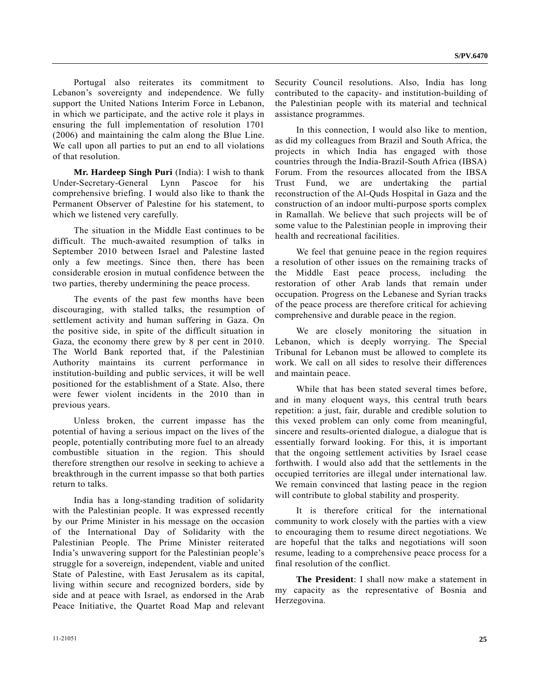Portugal also reiterates its commitment to Lebanon's sovereignty and independence. We fully support the United Nations Interim Force in Lebanon, in which we participate, and the active role it plays in ensuring the full implementation of resolution 1701 (2006) and maintaining the calm along the Blue Line. We call upon all parties to put an end to all violations of that resolution.

**Mr. Hardeep Singh Puri** (India): I wish to thank Under-Secretary-General Lynn Pascoe for his comprehensive briefing. I would also like to thank the Permanent Observer of Palestine for his statement, to which we listened very carefully.

 The situation in the Middle East continues to be difficult. The much-awaited resumption of talks in September 2010 between Israel and Palestine lasted only a few meetings. Since then, there has been considerable erosion in mutual confidence between the two parties, thereby undermining the peace process.

 The events of the past few months have been discouraging, with stalled talks, the resumption of settlement activity and human suffering in Gaza. On the positive side, in spite of the difficult situation in Gaza, the economy there grew by 8 per cent in 2010. The World Bank reported that, if the Palestinian Authority maintains its current performance in institution-building and public services, it will be well positioned for the establishment of a State. Also, there were fewer violent incidents in the 2010 than in previous years.

 Unless broken, the current impasse has the potential of having a serious impact on the lives of the people, potentially contributing more fuel to an already combustible situation in the region. This should therefore strengthen our resolve in seeking to achieve a breakthrough in the current impasse so that both parties return to talks.

 India has a long-standing tradition of solidarity with the Palestinian people. It was expressed recently by our Prime Minister in his message on the occasion of the International Day of Solidarity with the Palestinian People. The Prime Minister reiterated India's unwavering support for the Palestinian people's struggle for a sovereign, independent, viable and united State of Palestine, with East Jerusalem as its capital, living within secure and recognized borders, side by side and at peace with Israel, as endorsed in the Arab Peace Initiative, the Quartet Road Map and relevant

Security Council resolutions. Also, India has long contributed to the capacity- and institution-building of the Palestinian people with its material and technical assistance programmes.

 In this connection, I would also like to mention, as did my colleagues from Brazil and South Africa, the projects in which India has engaged with those countries through the India-Brazil-South Africa (IBSA) Forum. From the resources allocated from the IBSA Trust Fund, we are undertaking the partial reconstruction of the Al-Quds Hospital in Gaza and the construction of an indoor multi-purpose sports complex in Ramallah. We believe that such projects will be of some value to the Palestinian people in improving their health and recreational facilities.

 We feel that genuine peace in the region requires a resolution of other issues on the remaining tracks of the Middle East peace process, including the restoration of other Arab lands that remain under occupation. Progress on the Lebanese and Syrian tracks of the peace process are therefore critical for achieving comprehensive and durable peace in the region.

 We are closely monitoring the situation in Lebanon, which is deeply worrying. The Special Tribunal for Lebanon must be allowed to complete its work. We call on all sides to resolve their differences and maintain peace.

 While that has been stated several times before, and in many eloquent ways, this central truth bears repetition: a just, fair, durable and credible solution to this vexed problem can only come from meaningful, sincere and results-oriented dialogue, a dialogue that is essentially forward looking. For this, it is important that the ongoing settlement activities by Israel cease forthwith. I would also add that the settlements in the occupied territories are illegal under international law. We remain convinced that lasting peace in the region will contribute to global stability and prosperity.

 It is therefore critical for the international community to work closely with the parties with a view to encouraging them to resume direct negotiations. We are hopeful that the talks and negotiations will soon resume, leading to a comprehensive peace process for a final resolution of the conflict.

**The President**: I shall now make a statement in my capacity as the representative of Bosnia and Herzegovina.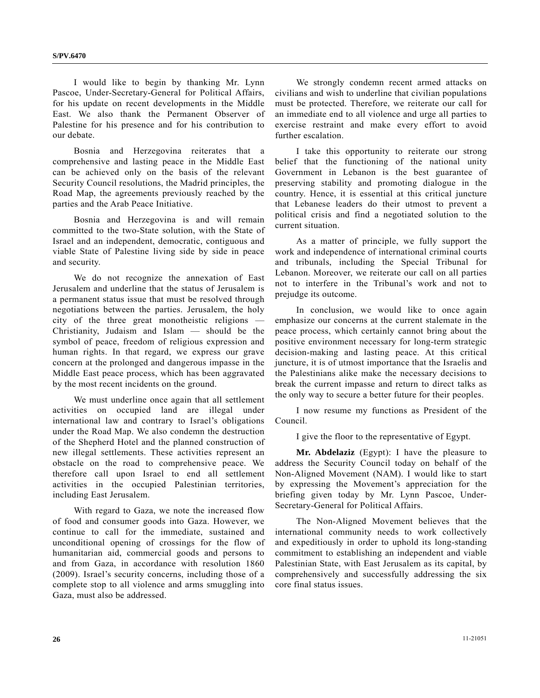I would like to begin by thanking Mr. Lynn Pascoe, Under-Secretary-General for Political Affairs, for his update on recent developments in the Middle East. We also thank the Permanent Observer of Palestine for his presence and for his contribution to our debate.

 Bosnia and Herzegovina reiterates that a comprehensive and lasting peace in the Middle East can be achieved only on the basis of the relevant Security Council resolutions, the Madrid principles, the Road Map, the agreements previously reached by the parties and the Arab Peace Initiative.

 Bosnia and Herzegovina is and will remain committed to the two-State solution, with the State of Israel and an independent, democratic, contiguous and viable State of Palestine living side by side in peace and security.

 We do not recognize the annexation of East Jerusalem and underline that the status of Jerusalem is a permanent status issue that must be resolved through negotiations between the parties. Jerusalem, the holy city of the three great monotheistic religions — Christianity, Judaism and Islam — should be the symbol of peace, freedom of religious expression and human rights. In that regard, we express our grave concern at the prolonged and dangerous impasse in the Middle East peace process, which has been aggravated by the most recent incidents on the ground.

 We must underline once again that all settlement activities on occupied land are illegal under international law and contrary to Israel's obligations under the Road Map. We also condemn the destruction of the Shepherd Hotel and the planned construction of new illegal settlements. These activities represent an obstacle on the road to comprehensive peace. We therefore call upon Israel to end all settlement activities in the occupied Palestinian territories, including East Jerusalem.

 With regard to Gaza, we note the increased flow of food and consumer goods into Gaza. However, we continue to call for the immediate, sustained and unconditional opening of crossings for the flow of humanitarian aid, commercial goods and persons to and from Gaza, in accordance with resolution 1860 (2009). Israel's security concerns, including those of a complete stop to all violence and arms smuggling into Gaza, must also be addressed.

 We strongly condemn recent armed attacks on civilians and wish to underline that civilian populations must be protected. Therefore, we reiterate our call for an immediate end to all violence and urge all parties to exercise restraint and make every effort to avoid further escalation.

 I take this opportunity to reiterate our strong belief that the functioning of the national unity Government in Lebanon is the best guarantee of preserving stability and promoting dialogue in the country. Hence, it is essential at this critical juncture that Lebanese leaders do their utmost to prevent a political crisis and find a negotiated solution to the current situation.

 As a matter of principle, we fully support the work and independence of international criminal courts and tribunals, including the Special Tribunal for Lebanon. Moreover, we reiterate our call on all parties not to interfere in the Tribunal's work and not to prejudge its outcome.

In conclusion, we would like to once again emphasize our concerns at the current stalemate in the peace process, which certainly cannot bring about the positive environment necessary for long-term strategic decision-making and lasting peace. At this critical juncture, it is of utmost importance that the Israelis and the Palestinians alike make the necessary decisions to break the current impasse and return to direct talks as the only way to secure a better future for their peoples.

 I now resume my functions as President of the Council.

I give the floor to the representative of Egypt.

**Mr. Abdelaziz** (Egypt): I have the pleasure to address the Security Council today on behalf of the Non-Aligned Movement (NAM). I would like to start by expressing the Movement's appreciation for the briefing given today by Mr. Lynn Pascoe, Under-Secretary-General for Political Affairs.

 The Non-Aligned Movement believes that the international community needs to work collectively and expeditiously in order to uphold its long-standing commitment to establishing an independent and viable Palestinian State, with East Jerusalem as its capital, by comprehensively and successfully addressing the six core final status issues.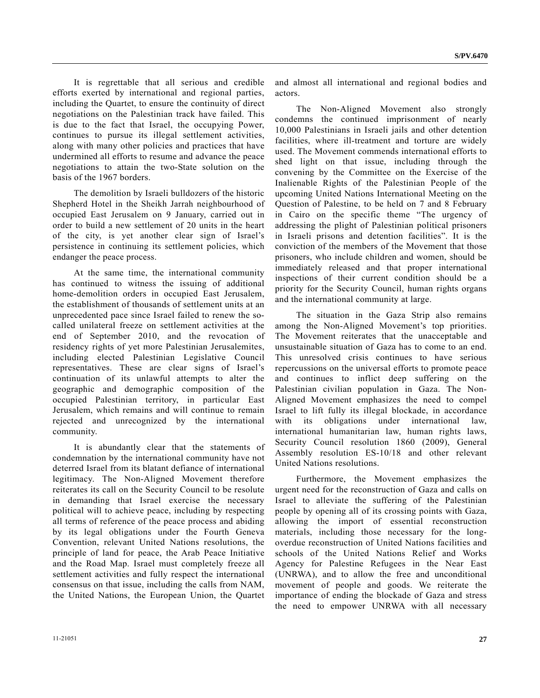It is regrettable that all serious and credible efforts exerted by international and regional parties, including the Quartet, to ensure the continuity of direct negotiations on the Palestinian track have failed. This is due to the fact that Israel, the occupying Power, continues to pursue its illegal settlement activities, along with many other policies and practices that have undermined all efforts to resume and advance the peace negotiations to attain the two-State solution on the basis of the 1967 borders.

 The demolition by Israeli bulldozers of the historic Shepherd Hotel in the Sheikh Jarrah neighbourhood of occupied East Jerusalem on 9 January, carried out in order to build a new settlement of 20 units in the heart of the city, is yet another clear sign of Israel's persistence in continuing its settlement policies, which endanger the peace process.

 At the same time, the international community has continued to witness the issuing of additional home-demolition orders in occupied East Jerusalem, the establishment of thousands of settlement units at an unprecedented pace since Israel failed to renew the socalled unilateral freeze on settlement activities at the end of September 2010, and the revocation of residency rights of yet more Palestinian Jerusalemites, including elected Palestinian Legislative Council representatives. These are clear signs of Israel's continuation of its unlawful attempts to alter the geographic and demographic composition of the occupied Palestinian territory, in particular East Jerusalem, which remains and will continue to remain rejected and unrecognized by the international community.

 It is abundantly clear that the statements of condemnation by the international community have not deterred Israel from its blatant defiance of international legitimacy. The Non-Aligned Movement therefore reiterates its call on the Security Council to be resolute in demanding that Israel exercise the necessary political will to achieve peace, including by respecting all terms of reference of the peace process and abiding by its legal obligations under the Fourth Geneva Convention, relevant United Nations resolutions, the principle of land for peace, the Arab Peace Initiative and the Road Map. Israel must completely freeze all settlement activities and fully respect the international consensus on that issue, including the calls from NAM, the United Nations, the European Union, the Quartet

and almost all international and regional bodies and actors.

 The Non-Aligned Movement also strongly condemns the continued imprisonment of nearly 10,000 Palestinians in Israeli jails and other detention facilities, where ill-treatment and torture are widely used. The Movement commends international efforts to shed light on that issue, including through the convening by the Committee on the Exercise of the Inalienable Rights of the Palestinian People of the upcoming United Nations International Meeting on the Question of Palestine, to be held on 7 and 8 February in Cairo on the specific theme "The urgency of addressing the plight of Palestinian political prisoners in Israeli prisons and detention facilities". It is the conviction of the members of the Movement that those prisoners, who include children and women, should be immediately released and that proper international inspections of their current condition should be a priority for the Security Council, human rights organs and the international community at large.

 The situation in the Gaza Strip also remains among the Non-Aligned Movement's top priorities. The Movement reiterates that the unacceptable and unsustainable situation of Gaza has to come to an end. This unresolved crisis continues to have serious repercussions on the universal efforts to promote peace and continues to inflict deep suffering on the Palestinian civilian population in Gaza. The Non-Aligned Movement emphasizes the need to compel Israel to lift fully its illegal blockade, in accordance with its obligations under international law, international humanitarian law, human rights laws, Security Council resolution 1860 (2009), General Assembly resolution ES-10/18 and other relevant United Nations resolutions.

 Furthermore, the Movement emphasizes the urgent need for the reconstruction of Gaza and calls on Israel to alleviate the suffering of the Palestinian people by opening all of its crossing points with Gaza, allowing the import of essential reconstruction materials, including those necessary for the longoverdue reconstruction of United Nations facilities and schools of the United Nations Relief and Works Agency for Palestine Refugees in the Near East (UNRWA), and to allow the free and unconditional movement of people and goods. We reiterate the importance of ending the blockade of Gaza and stress the need to empower UNRWA with all necessary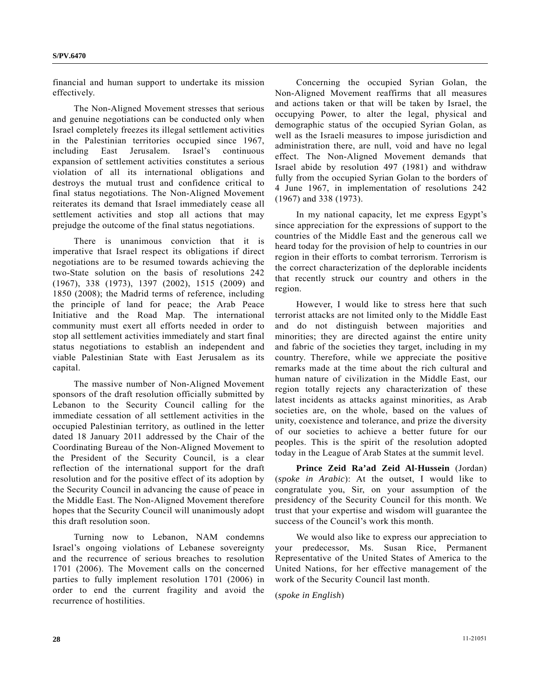financial and human support to undertake its mission effectively.

 The Non-Aligned Movement stresses that serious and genuine negotiations can be conducted only when Israel completely freezes its illegal settlement activities in the Palestinian territories occupied since 1967, including East Jerusalem. Israel's continuous expansion of settlement activities constitutes a serious violation of all its international obligations and destroys the mutual trust and confidence critical to final status negotiations. The Non-Aligned Movement reiterates its demand that Israel immediately cease all settlement activities and stop all actions that may prejudge the outcome of the final status negotiations.

 There is unanimous conviction that it is imperative that Israel respect its obligations if direct negotiations are to be resumed towards achieving the two-State solution on the basis of resolutions 242 (1967), 338 (1973), 1397 (2002), 1515 (2009) and 1850 (2008); the Madrid terms of reference, including the principle of land for peace; the Arab Peace Initiative and the Road Map. The international community must exert all efforts needed in order to stop all settlement activities immediately and start final status negotiations to establish an independent and viable Palestinian State with East Jerusalem as its capital.

 The massive number of Non-Aligned Movement sponsors of the draft resolution officially submitted by Lebanon to the Security Council calling for the immediate cessation of all settlement activities in the occupied Palestinian territory, as outlined in the letter dated 18 January 2011 addressed by the Chair of the Coordinating Bureau of the Non-Aligned Movement to the President of the Security Council, is a clear reflection of the international support for the draft resolution and for the positive effect of its adoption by the Security Council in advancing the cause of peace in the Middle East. The Non-Aligned Movement therefore hopes that the Security Council will unanimously adopt this draft resolution soon.

 Turning now to Lebanon, NAM condemns Israel's ongoing violations of Lebanese sovereignty and the recurrence of serious breaches to resolution 1701 (2006). The Movement calls on the concerned parties to fully implement resolution 1701 (2006) in order to end the current fragility and avoid the recurrence of hostilities.

 Concerning the occupied Syrian Golan, the Non-Aligned Movement reaffirms that all measures and actions taken or that will be taken by Israel, the occupying Power, to alter the legal, physical and demographic status of the occupied Syrian Golan, as well as the Israeli measures to impose jurisdiction and administration there, are null, void and have no legal effect. The Non-Aligned Movement demands that Israel abide by resolution 497 (1981) and withdraw fully from the occupied Syrian Golan to the borders of 4 June 1967, in implementation of resolutions 242 (1967) and 338 (1973).

 In my national capacity, let me express Egypt's since appreciation for the expressions of support to the countries of the Middle East and the generous call we heard today for the provision of help to countries in our region in their efforts to combat terrorism. Terrorism is the correct characterization of the deplorable incidents that recently struck our country and others in the region.

 However, I would like to stress here that such terrorist attacks are not limited only to the Middle East and do not distinguish between majorities and minorities; they are directed against the entire unity and fabric of the societies they target, including in my country. Therefore, while we appreciate the positive remarks made at the time about the rich cultural and human nature of civilization in the Middle East, our region totally rejects any characterization of these latest incidents as attacks against minorities, as Arab societies are, on the whole, based on the values of unity, coexistence and tolerance, and prize the diversity of our societies to achieve a better future for our peoples. This is the spirit of the resolution adopted today in the League of Arab States at the summit level.

**Prince Zeid Ra'ad Zeid Al-Hussein** (Jordan) (*spoke in Arabic*): At the outset, I would like to congratulate you, Sir, on your assumption of the presidency of the Security Council for this month. We trust that your expertise and wisdom will guarantee the success of the Council's work this month.

 We would also like to express our appreciation to your predecessor, Ms. Susan Rice, Permanent Representative of the United States of America to the United Nations, for her effective management of the work of the Security Council last month.

(*spoke in English*)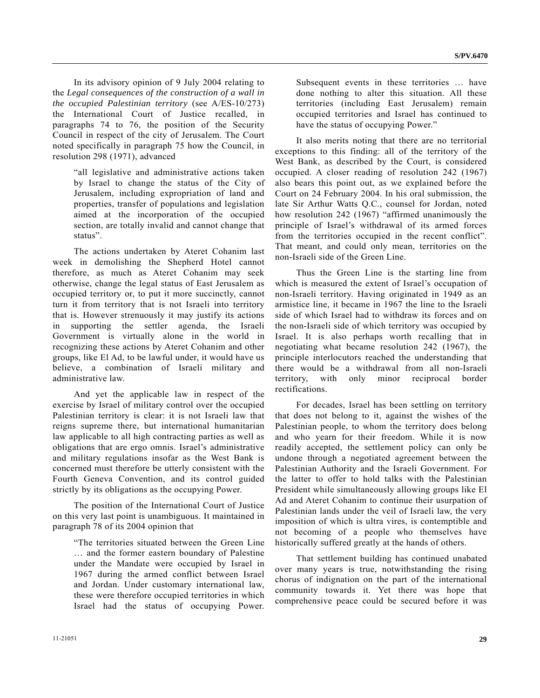In its advisory opinion of 9 July 2004 relating to the *Legal consequences of the construction of a wall in the occupied Palestinian territory* (see A/ES-10/273) the International Court of Justice recalled, in paragraphs 74 to 76, the position of the Security Council in respect of the city of Jerusalem. The Court noted specifically in paragraph 75 how the Council, in resolution 298 (1971), advanced

 "all legislative and administrative actions taken by Israel to change the status of the City of Jerusalem, including expropriation of land and properties, transfer of populations and legislation aimed at the incorporation of the occupied section, are totally invalid and cannot change that status".

 The actions undertaken by Ateret Cohanim last week in demolishing the Shepherd Hotel cannot therefore, as much as Ateret Cohanim may seek otherwise, change the legal status of East Jerusalem as occupied territory or, to put it more succinctly, cannot turn it from territory that is not Israeli into territory that is. However strenuously it may justify its actions in supporting the settler agenda, the Israeli Government is virtually alone in the world in recognizing these actions by Ateret Cohanim and other groups, like El Ad, to be lawful under, it would have us believe, a combination of Israeli military and administrative law.

 And yet the applicable law in respect of the exercise by Israel of military control over the occupied Palestinian territory is clear: it is not Israeli law that reigns supreme there, but international humanitarian law applicable to all high contracting parties as well as obligations that are ergo omnis. Israel's administrative and military regulations insofar as the West Bank is concerned must therefore be utterly consistent with the Fourth Geneva Convention, and its control guided strictly by its obligations as the occupying Power.

 The position of the International Court of Justice on this very last point is unambiguous. It maintained in paragraph 78 of its 2004 opinion that

 "The territories situated between the Green Line … and the former eastern boundary of Palestine under the Mandate were occupied by Israel in 1967 during the armed conflict between Israel and Jordan. Under customary international law, these were therefore occupied territories in which Israel had the status of occupying Power.

Subsequent events in these territories … have done nothing to alter this situation. All these territories (including East Jerusalem) remain occupied territories and Israel has continued to have the status of occupying Power."

 It also merits noting that there are no territorial exceptions to this finding: all of the territory of the West Bank, as described by the Court, is considered occupied. A closer reading of resolution 242 (1967) also bears this point out, as we explained before the Court on 24 February 2004. In his oral submission, the late Sir Arthur Watts Q.C., counsel for Jordan, noted how resolution 242 (1967) "affirmed unanimously the principle of Israel's withdrawal of its armed forces from the territories occupied in the recent conflict". That meant, and could only mean, territories on the non-Israeli side of the Green Line.

 Thus the Green Line is the starting line from which is measured the extent of Israel's occupation of non-Israeli territory. Having originated in 1949 as an armistice line, it became in 1967 the line to the Israeli side of which Israel had to withdraw its forces and on the non-Israeli side of which territory was occupied by Israel. It is also perhaps worth recalling that in negotiating what became resolution 242 (1967), the principle interlocutors reached the understanding that there would be a withdrawal from all non-Israeli territory, with only minor reciprocal border rectifications.

 For decades, Israel has been settling on territory that does not belong to it, against the wishes of the Palestinian people, to whom the territory does belong and who yearn for their freedom. While it is now readily accepted, the settlement policy can only be undone through a negotiated agreement between the Palestinian Authority and the Israeli Government. For the latter to offer to hold talks with the Palestinian President while simultaneously allowing groups like El Ad and Ateret Cohanim to continue their usurpation of Palestinian lands under the veil of Israeli law, the very imposition of which is ultra vires, is contemptible and not becoming of a people who themselves have historically suffered greatly at the hands of others.

 That settlement building has continued unabated over many years is true, notwithstanding the rising chorus of indignation on the part of the international community towards it. Yet there was hope that comprehensive peace could be secured before it was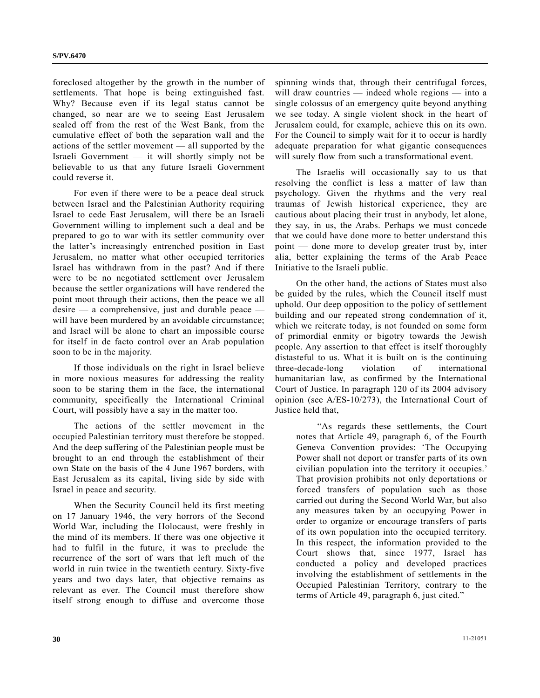foreclosed altogether by the growth in the number of settlements. That hope is being extinguished fast. Why? Because even if its legal status cannot be changed, so near are we to seeing East Jerusalem sealed off from the rest of the West Bank, from the cumulative effect of both the separation wall and the actions of the settler movement — all supported by the Israeli Government — it will shortly simply not be believable to us that any future Israeli Government could reverse it.

 For even if there were to be a peace deal struck between Israel and the Palestinian Authority requiring Israel to cede East Jerusalem, will there be an Israeli Government willing to implement such a deal and be prepared to go to war with its settler community over the latter's increasingly entrenched position in East Jerusalem, no matter what other occupied territories Israel has withdrawn from in the past? And if there were to be no negotiated settlement over Jerusalem because the settler organizations will have rendered the point moot through their actions, then the peace we all desire — a comprehensive, just and durable peace will have been murdered by an avoidable circumstance; and Israel will be alone to chart an impossible course for itself in de facto control over an Arab population soon to be in the majority.

 If those individuals on the right in Israel believe in more noxious measures for addressing the reality soon to be staring them in the face, the international community, specifically the International Criminal Court, will possibly have a say in the matter too.

 The actions of the settler movement in the occupied Palestinian territory must therefore be stopped. And the deep suffering of the Palestinian people must be brought to an end through the establishment of their own State on the basis of the 4 June 1967 borders, with East Jerusalem as its capital, living side by side with Israel in peace and security.

 When the Security Council held its first meeting on 17 January 1946, the very horrors of the Second World War, including the Holocaust, were freshly in the mind of its members. If there was one objective it had to fulfil in the future, it was to preclude the recurrence of the sort of wars that left much of the world in ruin twice in the twentieth century. Sixty-five years and two days later, that objective remains as relevant as ever. The Council must therefore show itself strong enough to diffuse and overcome those

spinning winds that, through their centrifugal forces, will draw countries — indeed whole regions — into a single colossus of an emergency quite beyond anything we see today. A single violent shock in the heart of Jerusalem could, for example, achieve this on its own. For the Council to simply wait for it to occur is hardly adequate preparation for what gigantic consequences will surely flow from such a transformational event.

 The Israelis will occasionally say to us that resolving the conflict is less a matter of law than psychology. Given the rhythms and the very real traumas of Jewish historical experience, they are cautious about placing their trust in anybody, let alone, they say, in us, the Arabs. Perhaps we must concede that we could have done more to better understand this point — done more to develop greater trust by, inter alia, better explaining the terms of the Arab Peace Initiative to the Israeli public.

 On the other hand, the actions of States must also be guided by the rules, which the Council itself must uphold. Our deep opposition to the policy of settlement building and our repeated strong condemnation of it, which we reiterate today, is not founded on some form of primordial enmity or bigotry towards the Jewish people. Any assertion to that effect is itself thoroughly distasteful to us. What it is built on is the continuing three-decade-long violation of international humanitarian law, as confirmed by the International Court of Justice. In paragraph 120 of its 2004 advisory opinion (see A/ES-10/273), the International Court of Justice held that,

 "As regards these settlements, the Court notes that Article 49, paragraph 6, of the Fourth Geneva Convention provides: 'The Occupying Power shall not deport or transfer parts of its own civilian population into the territory it occupies.' That provision prohibits not only deportations or forced transfers of population such as those carried out during the Second World War, but also any measures taken by an occupying Power in order to organize or encourage transfers of parts of its own population into the occupied territory. In this respect, the information provided to the Court shows that, since 1977, Israel has conducted a policy and developed practices involving the establishment of settlements in the Occupied Palestinian Territory, contrary to the terms of Article 49, paragraph 6, just cited."